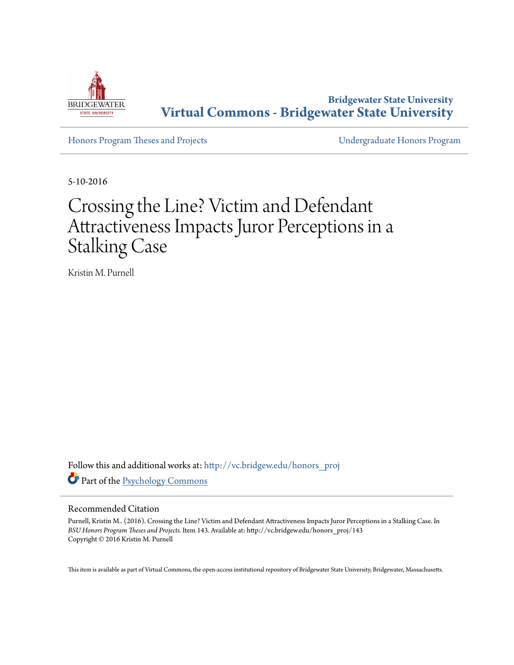

**Bridgewater State University [Virtual Commons - Bridgewater State University](http://vc.bridgew.edu?utm_source=vc.bridgew.edu%2Fhonors_proj%2F143&utm_medium=PDF&utm_campaign=PDFCoverPages)**

[Honors Program Theses and Projects](http://vc.bridgew.edu/honors_proj?utm_source=vc.bridgew.edu%2Fhonors_proj%2F143&utm_medium=PDF&utm_campaign=PDFCoverPages) [Undergraduate Honors Program](http://vc.bridgew.edu/honors?utm_source=vc.bridgew.edu%2Fhonors_proj%2F143&utm_medium=PDF&utm_campaign=PDFCoverPages)

5-10-2016

# Crossing the Line? Victim and Defendant Attractiveness Impacts Juror Perceptions in a Stalking Case

Kristin M. Purnell

Follow this and additional works at: [http://vc.bridgew.edu/honors\\_proj](http://vc.bridgew.edu/honors_proj?utm_source=vc.bridgew.edu%2Fhonors_proj%2F143&utm_medium=PDF&utm_campaign=PDFCoverPages) Part of the [Psychology Commons](http://network.bepress.com/hgg/discipline/404?utm_source=vc.bridgew.edu%2Fhonors_proj%2F143&utm_medium=PDF&utm_campaign=PDFCoverPages)

#### Recommended Citation

Purnell, Kristin M.. (2016). Crossing the Line? Victim and Defendant Attractiveness Impacts Juror Perceptions in a Stalking Case. In *BSU Honors Program Theses and Projects.* Item 143. Available at: http://vc.bridgew.edu/honors\_proj/143 Copyright © 2016 Kristin M. Purnell

This item is available as part of Virtual Commons, the open-access institutional repository of Bridgewater State University, Bridgewater, Massachusetts.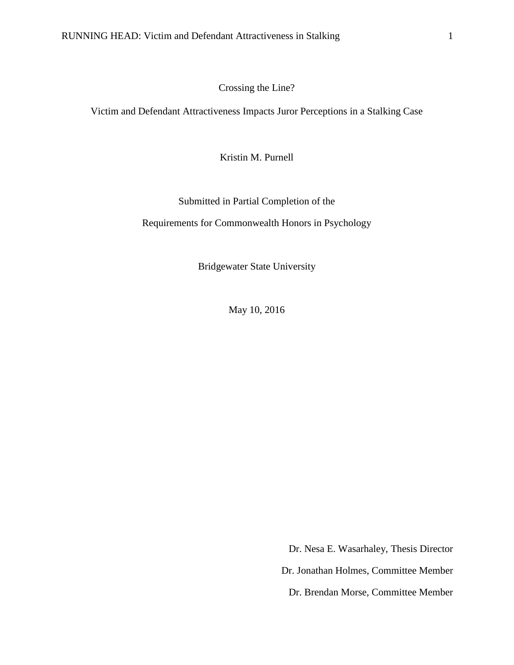Crossing the Line?

Victim and Defendant Attractiveness Impacts Juror Perceptions in a Stalking Case

Kristin M. Purnell

Submitted in Partial Completion of the

Requirements for Commonwealth Honors in Psychology

Bridgewater State University

May 10, 2016

Dr. Nesa E. Wasarhaley, Thesis Director Dr. Jonathan Holmes, Committee Member Dr. Brendan Morse, Committee Member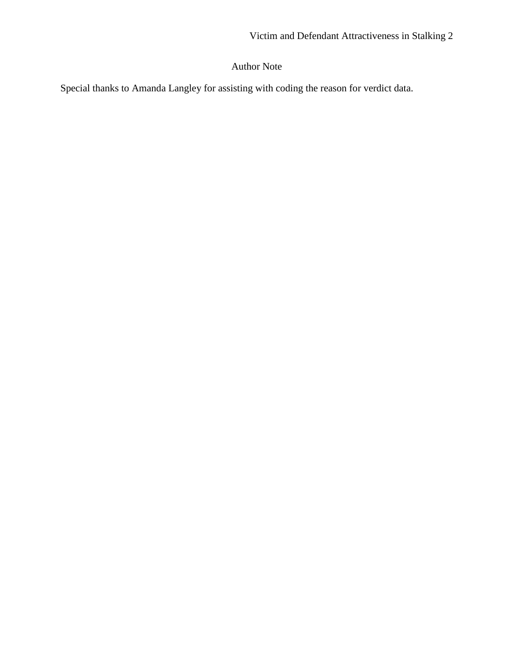# Author Note

Special thanks to Amanda Langley for assisting with coding the reason for verdict data.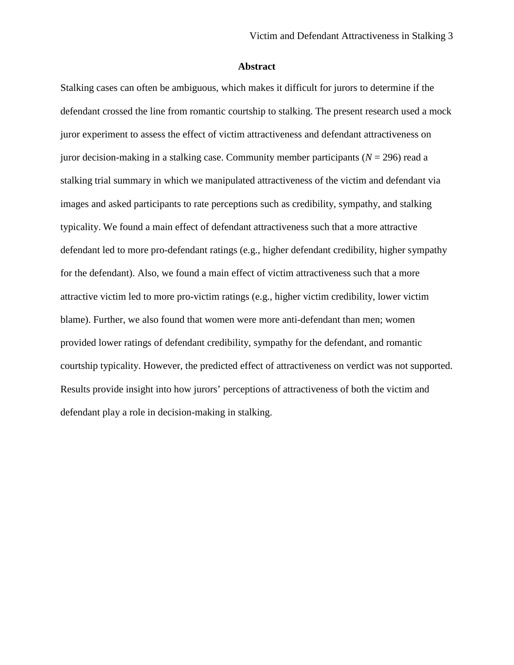# **Abstract**

Stalking cases can often be ambiguous, which makes it difficult for jurors to determine if the defendant crossed the line from romantic courtship to stalking. The present research used a mock juror experiment to assess the effect of victim attractiveness and defendant attractiveness on juror decision-making in a stalking case. Community member participants  $(N = 296)$  read a stalking trial summary in which we manipulated attractiveness of the victim and defendant via images and asked participants to rate perceptions such as credibility, sympathy, and stalking typicality. We found a main effect of defendant attractiveness such that a more attractive defendant led to more pro-defendant ratings (e.g., higher defendant credibility, higher sympathy for the defendant). Also, we found a main effect of victim attractiveness such that a more attractive victim led to more pro-victim ratings (e.g., higher victim credibility, lower victim blame). Further, we also found that women were more anti-defendant than men; women provided lower ratings of defendant credibility, sympathy for the defendant, and romantic courtship typicality. However, the predicted effect of attractiveness on verdict was not supported. Results provide insight into how jurors' perceptions of attractiveness of both the victim and defendant play a role in decision-making in stalking.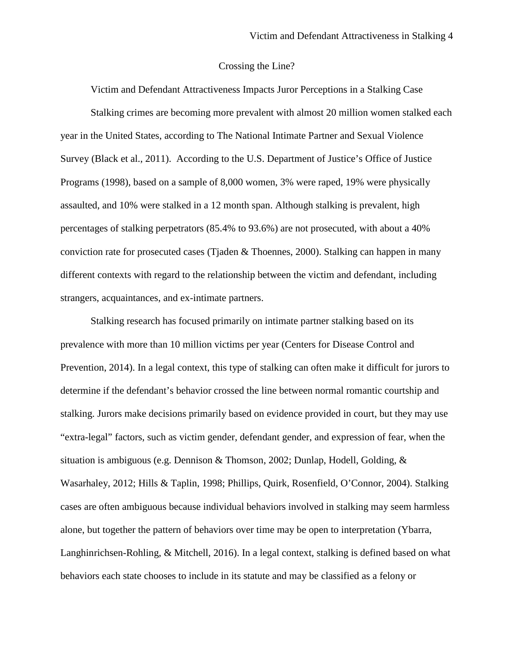#### Crossing the Line?

Victim and Defendant Attractiveness Impacts Juror Perceptions in a Stalking Case Stalking crimes are becoming more prevalent with almost 20 million women stalked each year in the United States, according to The National Intimate Partner and Sexual Violence Survey (Black et al., 2011). According to the U.S. Department of Justice's Office of Justice Programs (1998), based on a sample of 8,000 women, 3% were raped, 19% were physically assaulted, and 10% were stalked in a 12 month span. Although stalking is prevalent, high percentages of stalking perpetrators (85.4% to 93.6%) are not prosecuted, with about a 40% conviction rate for prosecuted cases (Tjaden & Thoennes, 2000). Stalking can happen in many different contexts with regard to the relationship between the victim and defendant, including strangers, acquaintances, and ex-intimate partners.

Stalking research has focused primarily on intimate partner stalking based on its prevalence with more than 10 million victims per year (Centers for Disease Control and Prevention, 2014). In a legal context, this type of stalking can often make it difficult for jurors to determine if the defendant's behavior crossed the line between normal romantic courtship and stalking. Jurors make decisions primarily based on evidence provided in court, but they may use "extra-legal" factors, such as victim gender, defendant gender, and expression of fear, when the situation is ambiguous (e.g. Dennison & Thomson, 2002; Dunlap, Hodell, Golding, & Wasarhaley, 2012; Hills & Taplin, 1998; Phillips, Quirk, Rosenfield, O'Connor, 2004). Stalking cases are often ambiguous because individual behaviors involved in stalking may seem harmless alone, but together the pattern of behaviors over time may be open to interpretation (Ybarra, Langhinrichsen-Rohling, & Mitchell, 2016). In a legal context, stalking is defined based on what behaviors each state chooses to include in its statute and may be classified as a felony or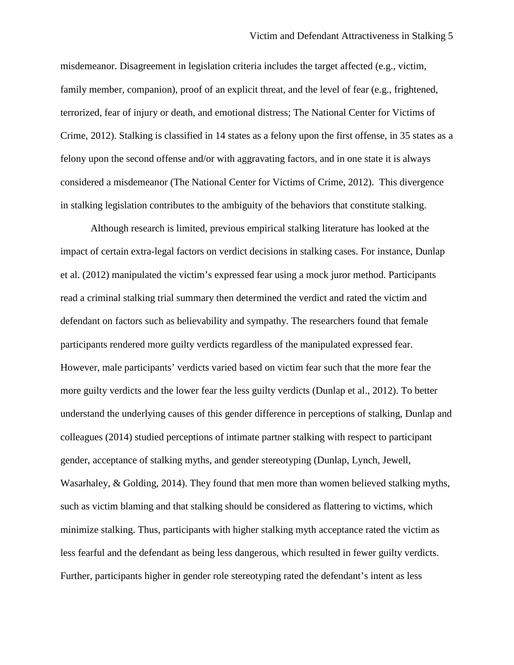misdemeanor. Disagreement in legislation criteria includes the target affected (e.g., victim, family member, companion), proof of an explicit threat, and the level of fear (e.g., frightened, terrorized, fear of injury or death, and emotional distress; The National Center for Victims of Crime, 2012). Stalking is classified in 14 states as a felony upon the first offense, in 35 states as a felony upon the second offense and/or with aggravating factors, and in one state it is always considered a misdemeanor (The National Center for Victims of Crime, 2012). This divergence in stalking legislation contributes to the ambiguity of the behaviors that constitute stalking.

Although research is limited, previous empirical stalking literature has looked at the impact of certain extra-legal factors on verdict decisions in stalking cases. For instance, Dunlap et al. (2012) manipulated the victim's expressed fear using a mock juror method. Participants read a criminal stalking trial summary then determined the verdict and rated the victim and defendant on factors such as believability and sympathy. The researchers found that female participants rendered more guilty verdicts regardless of the manipulated expressed fear. However, male participants' verdicts varied based on victim fear such that the more fear the more guilty verdicts and the lower fear the less guilty verdicts (Dunlap et al., 2012). To better understand the underlying causes of this gender difference in perceptions of stalking, Dunlap and colleagues (2014) studied perceptions of intimate partner stalking with respect to participant gender, acceptance of stalking myths, and gender stereotyping (Dunlap, Lynch, Jewell, Wasarhaley, & Golding, 2014). They found that men more than women believed stalking myths, such as victim blaming and that stalking should be considered as flattering to victims, which minimize stalking. Thus, participants with higher stalking myth acceptance rated the victim as less fearful and the defendant as being less dangerous, which resulted in fewer guilty verdicts. Further, participants higher in gender role stereotyping rated the defendant's intent as less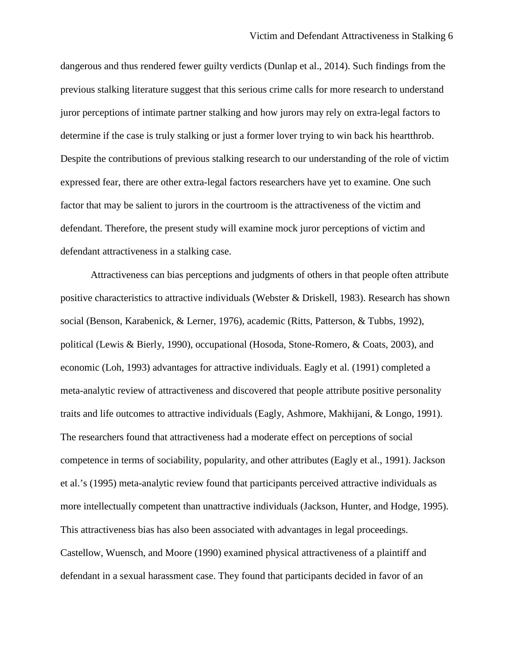dangerous and thus rendered fewer guilty verdicts (Dunlap et al., 2014). Such findings from the previous stalking literature suggest that this serious crime calls for more research to understand juror perceptions of intimate partner stalking and how jurors may rely on extra-legal factors to determine if the case is truly stalking or just a former lover trying to win back his heartthrob. Despite the contributions of previous stalking research to our understanding of the role of victim expressed fear, there are other extra-legal factors researchers have yet to examine. One such factor that may be salient to jurors in the courtroom is the attractiveness of the victim and defendant. Therefore, the present study will examine mock juror perceptions of victim and defendant attractiveness in a stalking case.

Attractiveness can bias perceptions and judgments of others in that people often attribute positive characteristics to attractive individuals (Webster & Driskell, 1983). Research has shown social (Benson, Karabenick, & Lerner, 1976), academic (Ritts, Patterson, & Tubbs, 1992), political (Lewis & Bierly, 1990), occupational (Hosoda, Stone-Romero, & Coats, 2003), and economic (Loh, 1993) advantages for attractive individuals. Eagly et al. (1991) completed a meta-analytic review of attractiveness and discovered that people attribute positive personality traits and life outcomes to attractive individuals (Eagly, Ashmore, Makhijani, & Longo, 1991). The researchers found that attractiveness had a moderate effect on perceptions of social competence in terms of sociability, popularity, and other attributes (Eagly et al., 1991). Jackson et al.'s (1995) meta-analytic review found that participants perceived attractive individuals as more intellectually competent than unattractive individuals (Jackson, Hunter, and Hodge, 1995). This attractiveness bias has also been associated with advantages in legal proceedings. Castellow, Wuensch, and Moore (1990) examined physical attractiveness of a plaintiff and defendant in a sexual harassment case. They found that participants decided in favor of an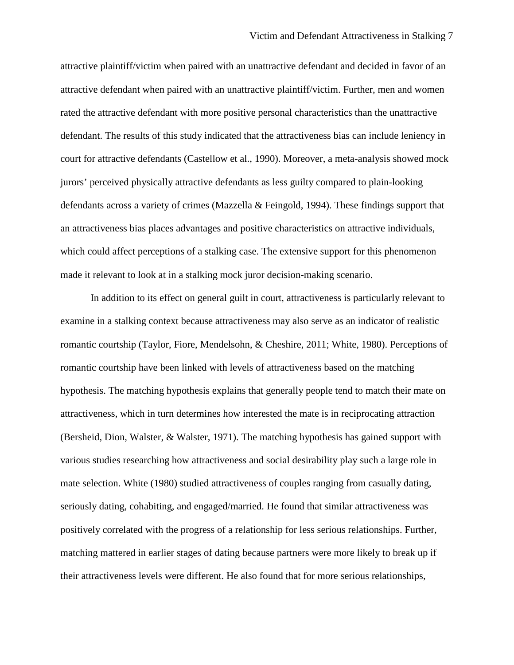attractive plaintiff/victim when paired with an unattractive defendant and decided in favor of an attractive defendant when paired with an unattractive plaintiff/victim. Further, men and women rated the attractive defendant with more positive personal characteristics than the unattractive defendant. The results of this study indicated that the attractiveness bias can include leniency in court for attractive defendants (Castellow et al., 1990). Moreover, a meta-analysis showed mock jurors' perceived physically attractive defendants as less guilty compared to plain-looking defendants across a variety of crimes (Mazzella & Feingold, 1994). These findings support that an attractiveness bias places advantages and positive characteristics on attractive individuals, which could affect perceptions of a stalking case. The extensive support for this phenomenon made it relevant to look at in a stalking mock juror decision-making scenario.

In addition to its effect on general guilt in court, attractiveness is particularly relevant to examine in a stalking context because attractiveness may also serve as an indicator of realistic romantic courtship (Taylor, Fiore, Mendelsohn, & Cheshire, 2011; White, 1980). Perceptions of romantic courtship have been linked with levels of attractiveness based on the matching hypothesis. The matching hypothesis explains that generally people tend to match their mate on attractiveness, which in turn determines how interested the mate is in reciprocating attraction (Bersheid, Dion, Walster, & Walster, 1971). The matching hypothesis has gained support with various studies researching how attractiveness and social desirability play such a large role in mate selection. White (1980) studied attractiveness of couples ranging from casually dating, seriously dating, cohabiting, and engaged/married. He found that similar attractiveness was positively correlated with the progress of a relationship for less serious relationships. Further, matching mattered in earlier stages of dating because partners were more likely to break up if their attractiveness levels were different. He also found that for more serious relationships,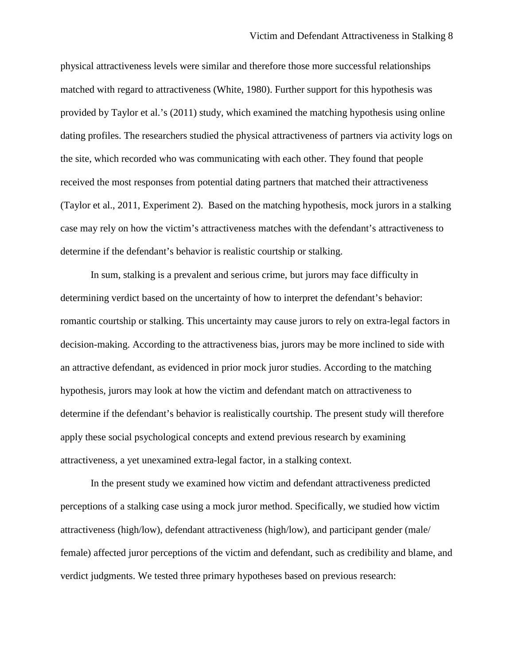physical attractiveness levels were similar and therefore those more successful relationships matched with regard to attractiveness (White, 1980). Further support for this hypothesis was provided by Taylor et al.'s (2011) study, which examined the matching hypothesis using online dating profiles. The researchers studied the physical attractiveness of partners via activity logs on the site, which recorded who was communicating with each other. They found that people received the most responses from potential dating partners that matched their attractiveness (Taylor et al., 2011, Experiment 2). Based on the matching hypothesis, mock jurors in a stalking case may rely on how the victim's attractiveness matches with the defendant's attractiveness to determine if the defendant's behavior is realistic courtship or stalking.

In sum, stalking is a prevalent and serious crime, but jurors may face difficulty in determining verdict based on the uncertainty of how to interpret the defendant's behavior: romantic courtship or stalking. This uncertainty may cause jurors to rely on extra-legal factors in decision-making. According to the attractiveness bias, jurors may be more inclined to side with an attractive defendant, as evidenced in prior mock juror studies. According to the matching hypothesis, jurors may look at how the victim and defendant match on attractiveness to determine if the defendant's behavior is realistically courtship. The present study will therefore apply these social psychological concepts and extend previous research by examining attractiveness, a yet unexamined extra-legal factor, in a stalking context.

In the present study we examined how victim and defendant attractiveness predicted perceptions of a stalking case using a mock juror method. Specifically, we studied how victim attractiveness (high/low), defendant attractiveness (high/low), and participant gender (male/ female) affected juror perceptions of the victim and defendant, such as credibility and blame, and verdict judgments. We tested three primary hypotheses based on previous research: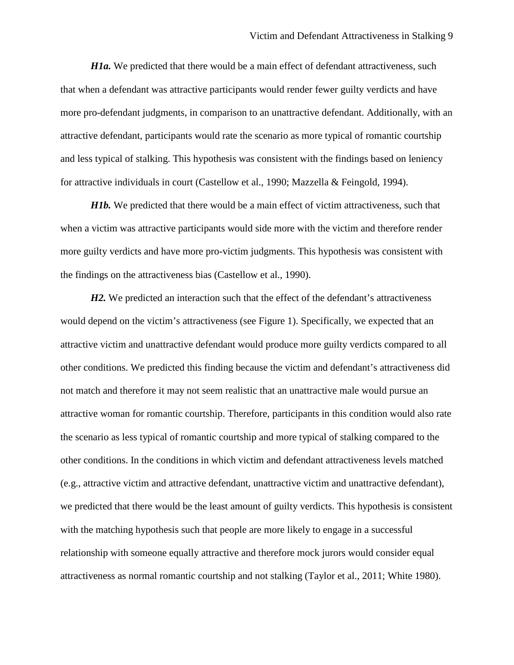*H1a.* We predicted that there would be a main effect of defendant attractiveness, such that when a defendant was attractive participants would render fewer guilty verdicts and have more pro-defendant judgments, in comparison to an unattractive defendant. Additionally, with an attractive defendant, participants would rate the scenario as more typical of romantic courtship and less typical of stalking. This hypothesis was consistent with the findings based on leniency for attractive individuals in court (Castellow et al., 1990; Mazzella & Feingold, 1994).

*H1b*. We predicted that there would be a main effect of victim attractiveness, such that when a victim was attractive participants would side more with the victim and therefore render more guilty verdicts and have more pro-victim judgments. This hypothesis was consistent with the findings on the attractiveness bias (Castellow et al., 1990).

*H2*. We predicted an interaction such that the effect of the defendant's attractiveness would depend on the victim's attractiveness (see Figure 1). Specifically, we expected that an attractive victim and unattractive defendant would produce more guilty verdicts compared to all other conditions. We predicted this finding because the victim and defendant's attractiveness did not match and therefore it may not seem realistic that an unattractive male would pursue an attractive woman for romantic courtship. Therefore, participants in this condition would also rate the scenario as less typical of romantic courtship and more typical of stalking compared to the other conditions. In the conditions in which victim and defendant attractiveness levels matched (e.g., attractive victim and attractive defendant, unattractive victim and unattractive defendant), we predicted that there would be the least amount of guilty verdicts. This hypothesis is consistent with the matching hypothesis such that people are more likely to engage in a successful relationship with someone equally attractive and therefore mock jurors would consider equal attractiveness as normal romantic courtship and not stalking (Taylor et al., 2011; White 1980).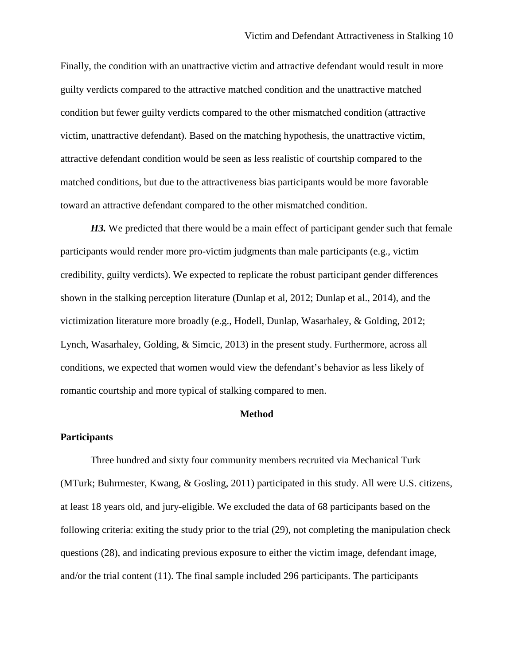Finally, the condition with an unattractive victim and attractive defendant would result in more guilty verdicts compared to the attractive matched condition and the unattractive matched condition but fewer guilty verdicts compared to the other mismatched condition (attractive victim, unattractive defendant). Based on the matching hypothesis, the unattractive victim, attractive defendant condition would be seen as less realistic of courtship compared to the matched conditions, but due to the attractiveness bias participants would be more favorable toward an attractive defendant compared to the other mismatched condition.

*H3.* We predicted that there would be a main effect of participant gender such that female participants would render more pro-victim judgments than male participants (e.g., victim credibility, guilty verdicts). We expected to replicate the robust participant gender differences shown in the stalking perception literature (Dunlap et al, 2012; Dunlap et al., 2014), and the victimization literature more broadly (e.g., Hodell, Dunlap, Wasarhaley, & Golding, 2012; Lynch, Wasarhaley, Golding, & Simcic, 2013) in the present study. Furthermore, across all conditions, we expected that women would view the defendant's behavior as less likely of romantic courtship and more typical of stalking compared to men.

# **Method**

#### **Participants**

Three hundred and sixty four community members recruited via Mechanical Turk (MTurk; Buhrmester, Kwang, & Gosling, 2011) participated in this study. All were U.S. citizens, at least 18 years old, and jury-eligible. We excluded the data of 68 participants based on the following criteria: exiting the study prior to the trial (29), not completing the manipulation check questions (28), and indicating previous exposure to either the victim image, defendant image, and/or the trial content (11). The final sample included 296 participants. The participants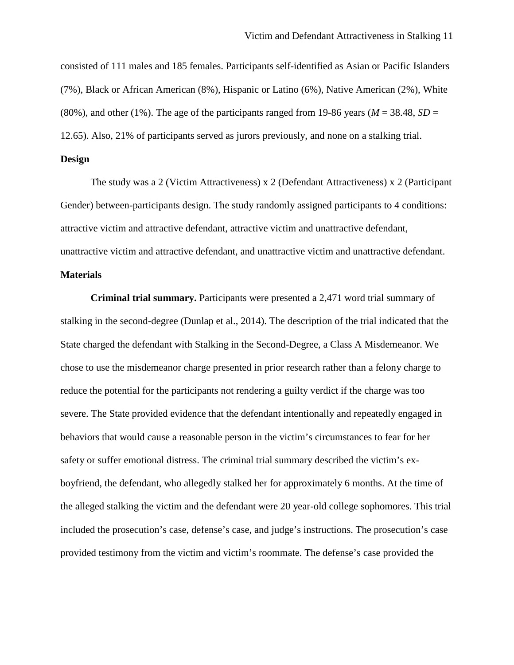consisted of 111 males and 185 females. Participants self-identified as Asian or Pacific Islanders (7%), Black or African American (8%), Hispanic or Latino (6%), Native American (2%), White (80%), and other (1%). The age of the participants ranged from 19-86 years ( $M = 38.48$ ,  $SD =$ 12.65). Also, 21% of participants served as jurors previously, and none on a stalking trial.

#### **Design**

The study was a 2 (Victim Attractiveness) x 2 (Defendant Attractiveness) x 2 (Participant Gender) between-participants design. The study randomly assigned participants to 4 conditions: attractive victim and attractive defendant, attractive victim and unattractive defendant, unattractive victim and attractive defendant, and unattractive victim and unattractive defendant.

# **Materials**

**Criminal trial summary.** Participants were presented a 2,471 word trial summary of stalking in the second-degree (Dunlap et al., 2014). The description of the trial indicated that the State charged the defendant with Stalking in the Second-Degree, a Class A Misdemeanor. We chose to use the misdemeanor charge presented in prior research rather than a felony charge to reduce the potential for the participants not rendering a guilty verdict if the charge was too severe. The State provided evidence that the defendant intentionally and repeatedly engaged in behaviors that would cause a reasonable person in the victim's circumstances to fear for her safety or suffer emotional distress. The criminal trial summary described the victim's exboyfriend, the defendant, who allegedly stalked her for approximately 6 months. At the time of the alleged stalking the victim and the defendant were 20 year-old college sophomores. This trial included the prosecution's case, defense's case, and judge's instructions. The prosecution's case provided testimony from the victim and victim's roommate. The defense's case provided the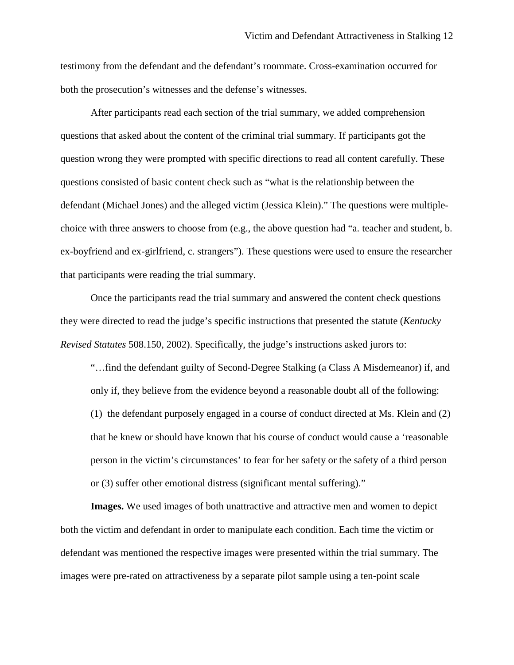testimony from the defendant and the defendant's roommate. Cross-examination occurred for both the prosecution's witnesses and the defense's witnesses.

After participants read each section of the trial summary, we added comprehension questions that asked about the content of the criminal trial summary. If participants got the question wrong they were prompted with specific directions to read all content carefully. These questions consisted of basic content check such as "what is the relationship between the defendant (Michael Jones) and the alleged victim (Jessica Klein)." The questions were multiplechoice with three answers to choose from (e.g., the above question had "a. teacher and student, b. ex-boyfriend and ex-girlfriend, c. strangers"). These questions were used to ensure the researcher that participants were reading the trial summary.

Once the participants read the trial summary and answered the content check questions they were directed to read the judge's specific instructions that presented the statute (*Kentucky Revised Statutes* 508.150, 2002). Specifically, the judge's instructions asked jurors to:

"…find the defendant guilty of Second-Degree Stalking (a Class A Misdemeanor) if, and only if, they believe from the evidence beyond a reasonable doubt all of the following: (1) the defendant purposely engaged in a course of conduct directed at Ms. Klein and (2) that he knew or should have known that his course of conduct would cause a 'reasonable person in the victim's circumstances' to fear for her safety or the safety of a third person or (3) suffer other emotional distress (significant mental suffering)."

**Images.** We used images of both unattractive and attractive men and women to depict both the victim and defendant in order to manipulate each condition. Each time the victim or defendant was mentioned the respective images were presented within the trial summary. The images were pre-rated on attractiveness by a separate pilot sample using a ten-point scale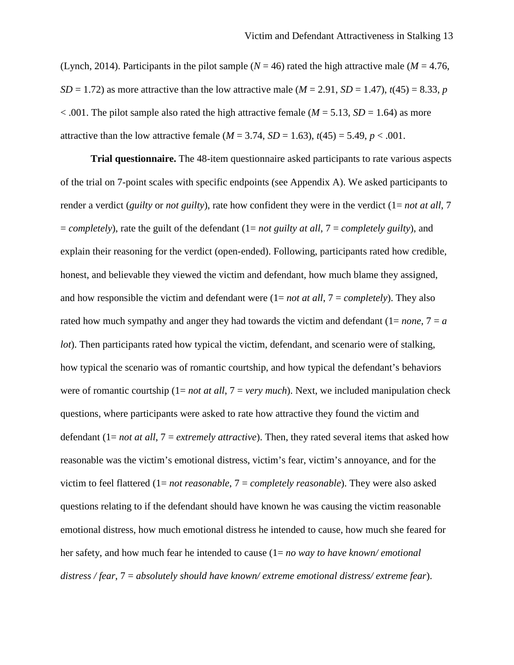(Lynch, 2014). Participants in the pilot sample ( $N = 46$ ) rated the high attractive male ( $M = 4.76$ ,  $SD = 1.72$ ) as more attractive than the low attractive male ( $M = 2.91$ ,  $SD = 1.47$ ),  $t(45) = 8.33$ , *p*  $< .001$ . The pilot sample also rated the high attractive female ( $M = 5.13$ ,  $SD = 1.64$ ) as more attractive than the low attractive female  $(M = 3.74, SD = 1.63)$ ,  $t(45) = 5.49$ ,  $p < .001$ .

**Trial questionnaire.** The 48-item questionnaire asked participants to rate various aspects of the trial on 7-point scales with specific endpoints (see Appendix A). We asked participants to render a verdict (*guilty* or *not guilty*), rate how confident they were in the verdict (1= *not at all*, 7 = *completely*), rate the guilt of the defendant (1= *not guilty at all*, 7 = *completely guilty*), and explain their reasoning for the verdict (open-ended). Following, participants rated how credible, honest, and believable they viewed the victim and defendant, how much blame they assigned, and how responsible the victim and defendant were (1= *not at all*, 7 = *completely*). They also rated how much sympathy and anger they had towards the victim and defendant  $(1 = none, 7 = a$ *lot*). Then participants rated how typical the victim, defendant, and scenario were of stalking, how typical the scenario was of romantic courtship, and how typical the defendant's behaviors were of romantic courtship (1= *not at all*, 7 = *very much*). Next, we included manipulation check questions, where participants were asked to rate how attractive they found the victim and defendant (1= *not at all*, 7 = *extremely attractive*). Then, they rated several items that asked how reasonable was the victim's emotional distress, victim's fear, victim's annoyance, and for the victim to feel flattered (1= *not reasonable*, 7 = *completely reasonable*). They were also asked questions relating to if the defendant should have known he was causing the victim reasonable emotional distress, how much emotional distress he intended to cause, how much she feared for her safety, and how much fear he intended to cause (1= *no way to have known/ emotional distress / fear*, 7 = *absolutely should have known/ extreme emotional distress/ extreme fear*).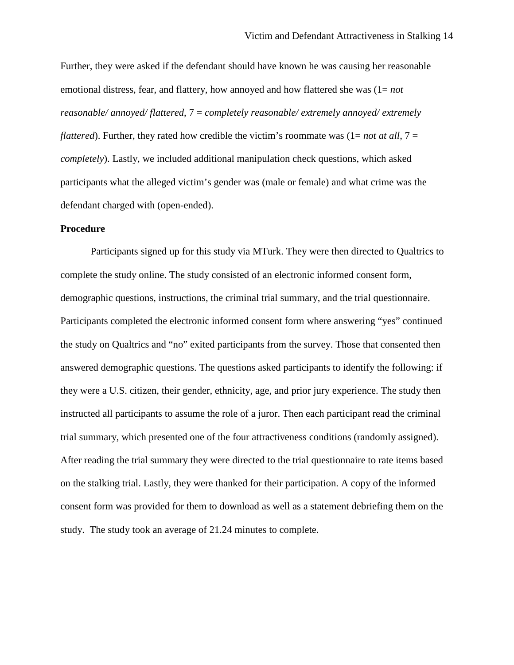Further, they were asked if the defendant should have known he was causing her reasonable emotional distress, fear, and flattery, how annoyed and how flattered she was (1= *not reasonable/ annoyed/ flattered*, 7 = *completely reasonable/ extremely annoyed/ extremely flattered*). Further, they rated how credible the victim's roommate was  $(1 = not at all, 7 =$ *completely*). Lastly, we included additional manipulation check questions, which asked participants what the alleged victim's gender was (male or female) and what crime was the defendant charged with (open-ended).

#### **Procedure**

Participants signed up for this study via MTurk. They were then directed to Qualtrics to complete the study online. The study consisted of an electronic informed consent form, demographic questions, instructions, the criminal trial summary, and the trial questionnaire. Participants completed the electronic informed consent form where answering "yes" continued the study on Qualtrics and "no" exited participants from the survey. Those that consented then answered demographic questions. The questions asked participants to identify the following: if they were a U.S. citizen, their gender, ethnicity, age, and prior jury experience. The study then instructed all participants to assume the role of a juror. Then each participant read the criminal trial summary, which presented one of the four attractiveness conditions (randomly assigned). After reading the trial summary they were directed to the trial questionnaire to rate items based on the stalking trial. Lastly, they were thanked for their participation. A copy of the informed consent form was provided for them to download as well as a statement debriefing them on the study. The study took an average of 21.24 minutes to complete.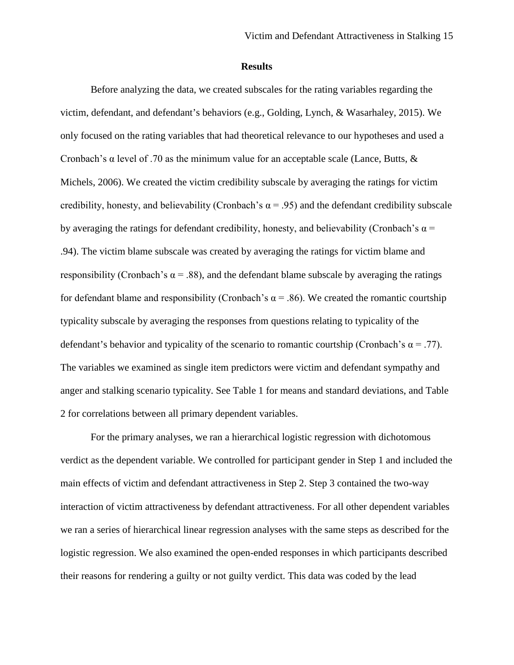#### **Results**

Before analyzing the data, we created subscales for the rating variables regarding the victim, defendant, and defendant's behaviors (e.g., Golding, Lynch, & Wasarhaley, 2015). We only focused on the rating variables that had theoretical relevance to our hypotheses and used a Cronbach's α level of .70 as the minimum value for an acceptable scale (Lance, Butts, & Michels, 2006). We created the victim credibility subscale by averaging the ratings for victim credibility, honesty, and believability (Cronbach's  $\alpha$  = .95) and the defendant credibility subscale by averaging the ratings for defendant credibility, honesty, and believability (Cronbach's  $\alpha$  = .94). The victim blame subscale was created by averaging the ratings for victim blame and responsibility (Cronbach's  $\alpha$  = .88), and the defendant blame subscale by averaging the ratings for defendant blame and responsibility (Cronbach's  $\alpha$  = .86). We created the romantic courtship typicality subscale by averaging the responses from questions relating to typicality of the defendant's behavior and typicality of the scenario to romantic courtship (Cronbach's  $\alpha = .77$ ). The variables we examined as single item predictors were victim and defendant sympathy and anger and stalking scenario typicality. See Table 1 for means and standard deviations, and Table 2 for correlations between all primary dependent variables.

For the primary analyses, we ran a hierarchical logistic regression with dichotomous verdict as the dependent variable. We controlled for participant gender in Step 1 and included the main effects of victim and defendant attractiveness in Step 2. Step 3 contained the two-way interaction of victim attractiveness by defendant attractiveness. For all other dependent variables we ran a series of hierarchical linear regression analyses with the same steps as described for the logistic regression. We also examined the open-ended responses in which participants described their reasons for rendering a guilty or not guilty verdict. This data was coded by the lead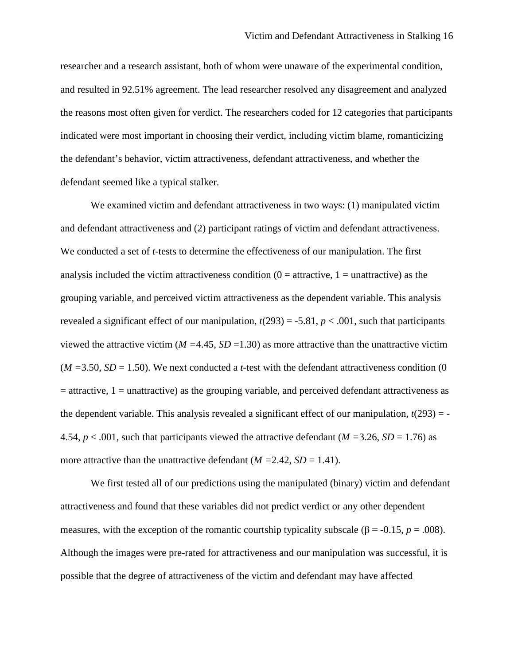researcher and a research assistant, both of whom were unaware of the experimental condition, and resulted in 92.51% agreement. The lead researcher resolved any disagreement and analyzed the reasons most often given for verdict. The researchers coded for 12 categories that participants indicated were most important in choosing their verdict, including victim blame, romanticizing the defendant's behavior, victim attractiveness, defendant attractiveness, and whether the defendant seemed like a typical stalker.

We examined victim and defendant attractiveness in two ways: (1) manipulated victim and defendant attractiveness and (2) participant ratings of victim and defendant attractiveness. We conducted a set of *t*-tests to determine the effectiveness of our manipulation. The first analysis included the victim attractiveness condition  $(0 =$  attractive,  $1 =$  unattractive) as the grouping variable, and perceived victim attractiveness as the dependent variable. This analysis revealed a significant effect of our manipulation,  $t(293) = -5.81$ ,  $p < .001$ , such that participants viewed the attractive victim ( $M = 4.45$ ,  $SD = 1.30$ ) as more attractive than the unattractive victim  $(M = 3.50, SD = 1.50)$ . We next conducted a *t*-test with the defendant attractiveness condition (0)  $=$  attractive, 1 = unattractive) as the grouping variable, and perceived defendant attractiveness as the dependent variable. This analysis revealed a significant effect of our manipulation,  $t(293) = -t$ 4.54,  $p < .001$ , such that participants viewed the attractive defendant ( $M = 3.26$ ,  $SD = 1.76$ ) as more attractive than the unattractive defendant  $(M = 2.42, SD = 1.41)$ .

We first tested all of our predictions using the manipulated (binary) victim and defendant attractiveness and found that these variables did not predict verdict or any other dependent measures, with the exception of the romantic courtship typicality subscale ( $\beta$  = -0.15, *p* = .008). Although the images were pre-rated for attractiveness and our manipulation was successful, it is possible that the degree of attractiveness of the victim and defendant may have affected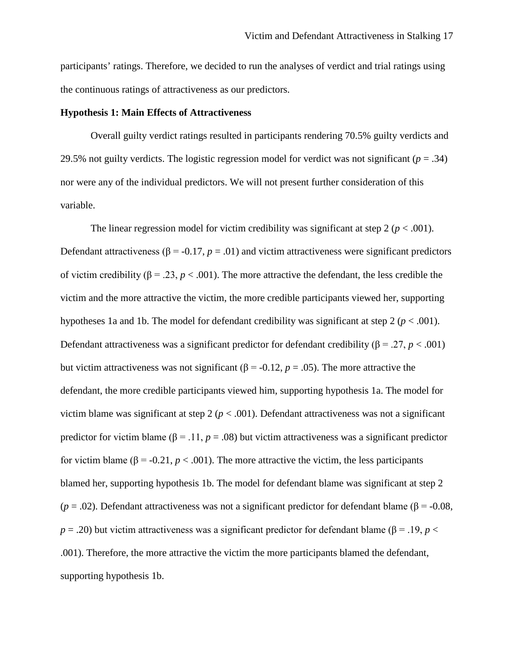participants' ratings. Therefore, we decided to run the analyses of verdict and trial ratings using the continuous ratings of attractiveness as our predictors.

# **Hypothesis 1: Main Effects of Attractiveness**

Overall guilty verdict ratings resulted in participants rendering 70.5% guilty verdicts and 29.5% not guilty verdicts. The logistic regression model for verdict was not significant  $(p = .34)$ nor were any of the individual predictors. We will not present further consideration of this variable.

The linear regression model for victim credibility was significant at step  $2 (p < .001)$ . Defendant attractiveness ( $\beta$  = -0.17, *p* = .01) and victim attractiveness were significant predictors of victim credibility (β = .23, *p* < .001). The more attractive the defendant, the less credible the victim and the more attractive the victim, the more credible participants viewed her, supporting hypotheses 1a and 1b. The model for defendant credibility was significant at step 2 (*p* < .001). Defendant attractiveness was a significant predictor for defendant credibility ( $\beta = .27$ ,  $p < .001$ ) but victim attractiveness was not significant ( $\beta$  = -0.12, *p* = .05). The more attractive the defendant, the more credible participants viewed him, supporting hypothesis 1a. The model for victim blame was significant at step  $2 (p < .001)$ . Defendant attractiveness was not a significant predictor for victim blame ( $\beta$  = .11,  $p$  = .08) but victim attractiveness was a significant predictor for victim blame (β = -0.21, *p* < .001). The more attractive the victim, the less participants blamed her, supporting hypothesis 1b. The model for defendant blame was significant at step 2 ( $p = .02$ ). Defendant attractiveness was not a significant predictor for defendant blame ( $\beta$  = -0.08,  $p = .20$ ) but victim attractiveness was a significant predictor for defendant blame ( $\beta = .19$ ,  $p <$ .001). Therefore, the more attractive the victim the more participants blamed the defendant, supporting hypothesis 1b.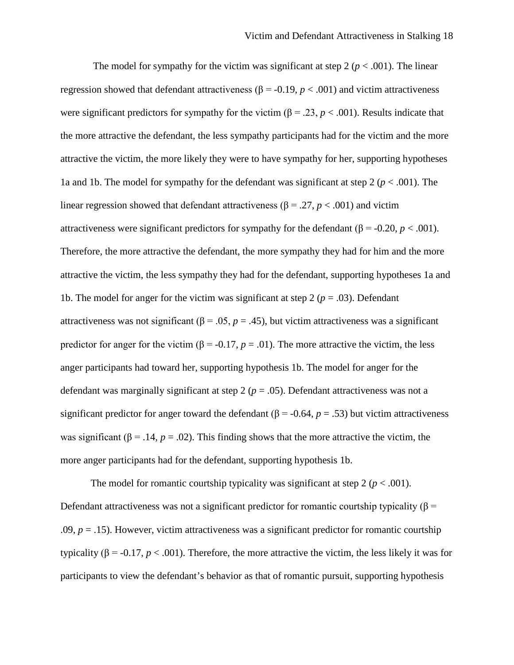The model for sympathy for the victim was significant at step 2 ( $p < .001$ ). The linear regression showed that defendant attractiveness ( $β = -0.19, p < .001$ ) and victim attractiveness were significant predictors for sympathy for the victim ( $\beta$  = .23, *p* < .001). Results indicate that the more attractive the defendant, the less sympathy participants had for the victim and the more attractive the victim, the more likely they were to have sympathy for her, supporting hypotheses 1a and 1b. The model for sympathy for the defendant was significant at step  $2 (p < .001)$ . The linear regression showed that defendant attractiveness (β = .27, *p* < .001) and victim attractiveness were significant predictors for sympathy for the defendant ( $\beta$  = -0.20, *p* < .001). Therefore, the more attractive the defendant, the more sympathy they had for him and the more attractive the victim, the less sympathy they had for the defendant, supporting hypotheses 1a and 1b. The model for anger for the victim was significant at step 2 ( $p = .03$ ). Defendant attractiveness was not significant (β = .05,  $p = .45$ ), but victim attractiveness was a significant predictor for anger for the victim ( $\beta$  = -0.17, *p* = .01). The more attractive the victim, the less anger participants had toward her, supporting hypothesis 1b. The model for anger for the defendant was marginally significant at step 2 ( $p = .05$ ). Defendant attractiveness was not a significant predictor for anger toward the defendant ( $\beta$  = -0.64, *p* = .53) but victim attractiveness was significant ( $\beta$  = .14,  $p$  = .02). This finding shows that the more attractive the victim, the more anger participants had for the defendant, supporting hypothesis 1b.

The model for romantic courtship typicality was significant at step 2 ( $p < .001$ ). Defendant attractiveness was not a significant predictor for romantic courtship typicality ( $\beta$  = .09,  $p = .15$ ). However, victim attractiveness was a significant predictor for romantic courtship typicality (β = -0.17,  $p < .001$ ). Therefore, the more attractive the victim, the less likely it was for participants to view the defendant's behavior as that of romantic pursuit, supporting hypothesis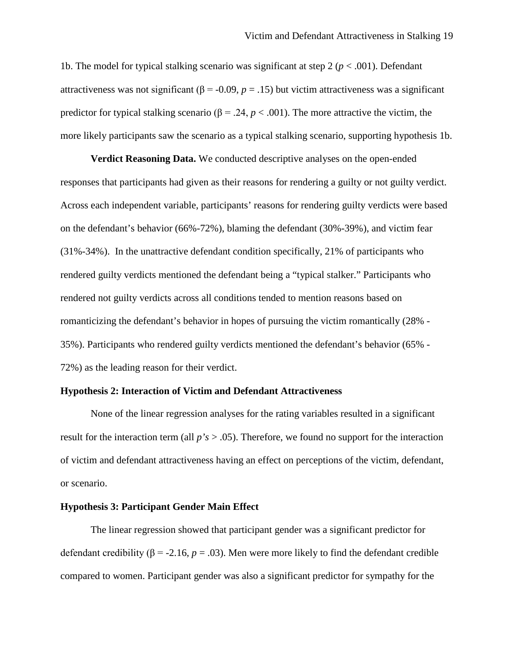1b. The model for typical stalking scenario was significant at step  $2 (p < .001)$ . Defendant attractiveness was not significant ( $\beta$  = -0.09, *p* = .15) but victim attractiveness was a significant predictor for typical stalking scenario ( $\beta$  = .24, *p* < .001). The more attractive the victim, the more likely participants saw the scenario as a typical stalking scenario, supporting hypothesis 1b.

**Verdict Reasoning Data.** We conducted descriptive analyses on the open-ended responses that participants had given as their reasons for rendering a guilty or not guilty verdict. Across each independent variable, participants' reasons for rendering guilty verdicts were based on the defendant's behavior (66%-72%), blaming the defendant (30%-39%), and victim fear (31%-34%). In the unattractive defendant condition specifically, 21% of participants who rendered guilty verdicts mentioned the defendant being a "typical stalker." Participants who rendered not guilty verdicts across all conditions tended to mention reasons based on romanticizing the defendant's behavior in hopes of pursuing the victim romantically (28% - 35%). Participants who rendered guilty verdicts mentioned the defendant's behavior (65% - 72%) as the leading reason for their verdict.

#### **Hypothesis 2: Interaction of Victim and Defendant Attractiveness**

None of the linear regression analyses for the rating variables resulted in a significant result for the interaction term (all *p's* > .05). Therefore, we found no support for the interaction of victim and defendant attractiveness having an effect on perceptions of the victim, defendant, or scenario.

#### **Hypothesis 3: Participant Gender Main Effect**

The linear regression showed that participant gender was a significant predictor for defendant credibility ( $β = -2.16$ ,  $p = .03$ ). Men were more likely to find the defendant credible compared to women. Participant gender was also a significant predictor for sympathy for the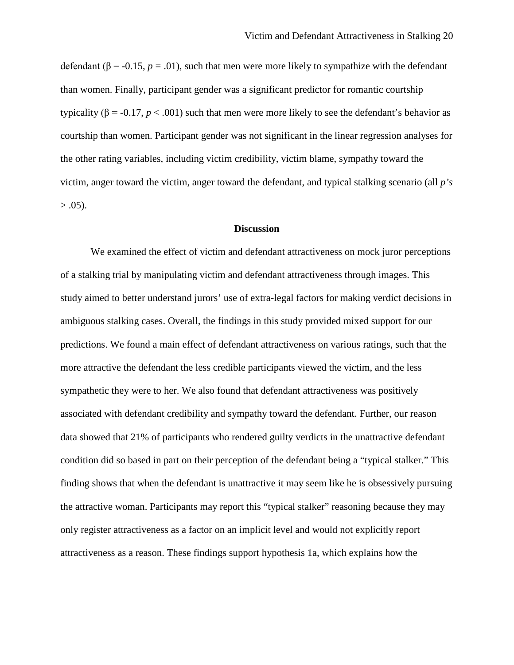defendant ( $\beta$  = -0.15, *p* = .01), such that men were more likely to sympathize with the defendant than women. Finally, participant gender was a significant predictor for romantic courtship typicality ( $\beta$  = -0.17, *p* < .001) such that men were more likely to see the defendant's behavior as courtship than women. Participant gender was not significant in the linear regression analyses for the other rating variables, including victim credibility, victim blame, sympathy toward the victim, anger toward the victim, anger toward the defendant, and typical stalking scenario (all *p's*   $> .05$ ).

#### **Discussion**

We examined the effect of victim and defendant attractiveness on mock juror perceptions of a stalking trial by manipulating victim and defendant attractiveness through images. This study aimed to better understand jurors' use of extra-legal factors for making verdict decisions in ambiguous stalking cases. Overall, the findings in this study provided mixed support for our predictions. We found a main effect of defendant attractiveness on various ratings, such that the more attractive the defendant the less credible participants viewed the victim, and the less sympathetic they were to her. We also found that defendant attractiveness was positively associated with defendant credibility and sympathy toward the defendant. Further, our reason data showed that 21% of participants who rendered guilty verdicts in the unattractive defendant condition did so based in part on their perception of the defendant being a "typical stalker." This finding shows that when the defendant is unattractive it may seem like he is obsessively pursuing the attractive woman. Participants may report this "typical stalker" reasoning because they may only register attractiveness as a factor on an implicit level and would not explicitly report attractiveness as a reason. These findings support hypothesis 1a, which explains how the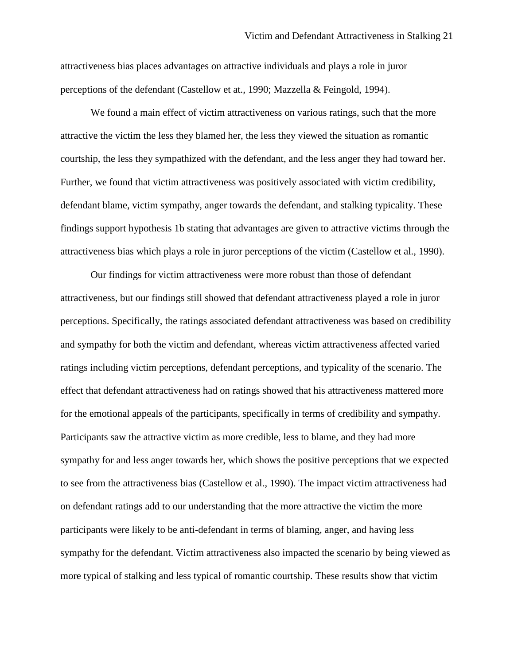attractiveness bias places advantages on attractive individuals and plays a role in juror perceptions of the defendant (Castellow et at., 1990; Mazzella & Feingold, 1994).

We found a main effect of victim attractiveness on various ratings, such that the more attractive the victim the less they blamed her, the less they viewed the situation as romantic courtship, the less they sympathized with the defendant, and the less anger they had toward her. Further, we found that victim attractiveness was positively associated with victim credibility, defendant blame, victim sympathy, anger towards the defendant, and stalking typicality. These findings support hypothesis 1b stating that advantages are given to attractive victims through the attractiveness bias which plays a role in juror perceptions of the victim (Castellow et al., 1990).

Our findings for victim attractiveness were more robust than those of defendant attractiveness, but our findings still showed that defendant attractiveness played a role in juror perceptions. Specifically, the ratings associated defendant attractiveness was based on credibility and sympathy for both the victim and defendant, whereas victim attractiveness affected varied ratings including victim perceptions, defendant perceptions, and typicality of the scenario. The effect that defendant attractiveness had on ratings showed that his attractiveness mattered more for the emotional appeals of the participants, specifically in terms of credibility and sympathy. Participants saw the attractive victim as more credible, less to blame, and they had more sympathy for and less anger towards her, which shows the positive perceptions that we expected to see from the attractiveness bias (Castellow et al., 1990). The impact victim attractiveness had on defendant ratings add to our understanding that the more attractive the victim the more participants were likely to be anti-defendant in terms of blaming, anger, and having less sympathy for the defendant. Victim attractiveness also impacted the scenario by being viewed as more typical of stalking and less typical of romantic courtship. These results show that victim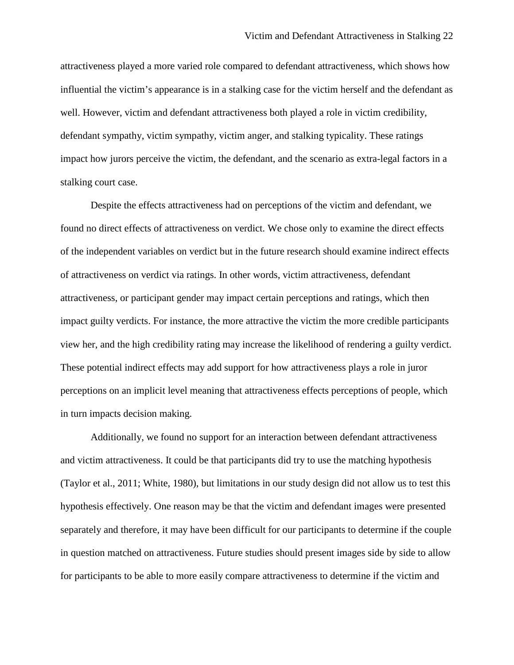attractiveness played a more varied role compared to defendant attractiveness, which shows how influential the victim's appearance is in a stalking case for the victim herself and the defendant as well. However, victim and defendant attractiveness both played a role in victim credibility, defendant sympathy, victim sympathy, victim anger, and stalking typicality. These ratings impact how jurors perceive the victim, the defendant, and the scenario as extra-legal factors in a stalking court case.

Despite the effects attractiveness had on perceptions of the victim and defendant, we found no direct effects of attractiveness on verdict. We chose only to examine the direct effects of the independent variables on verdict but in the future research should examine indirect effects of attractiveness on verdict via ratings. In other words, victim attractiveness, defendant attractiveness, or participant gender may impact certain perceptions and ratings, which then impact guilty verdicts. For instance, the more attractive the victim the more credible participants view her, and the high credibility rating may increase the likelihood of rendering a guilty verdict. These potential indirect effects may add support for how attractiveness plays a role in juror perceptions on an implicit level meaning that attractiveness effects perceptions of people, which in turn impacts decision making.

Additionally, we found no support for an interaction between defendant attractiveness and victim attractiveness. It could be that participants did try to use the matching hypothesis (Taylor et al., 2011; White, 1980), but limitations in our study design did not allow us to test this hypothesis effectively. One reason may be that the victim and defendant images were presented separately and therefore, it may have been difficult for our participants to determine if the couple in question matched on attractiveness. Future studies should present images side by side to allow for participants to be able to more easily compare attractiveness to determine if the victim and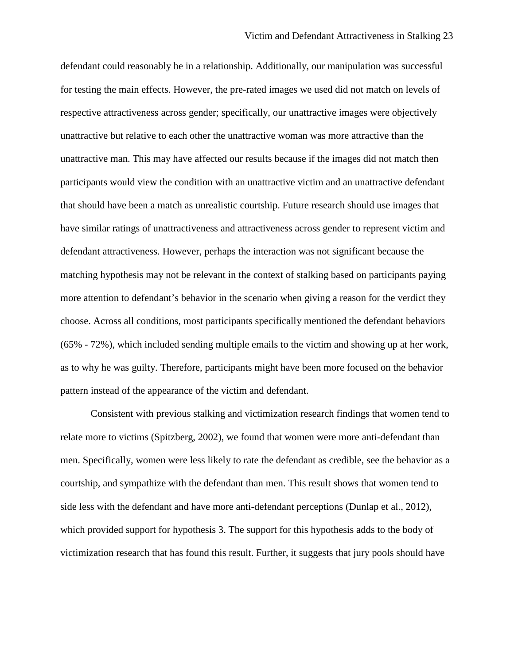defendant could reasonably be in a relationship. Additionally, our manipulation was successful for testing the main effects. However, the pre-rated images we used did not match on levels of respective attractiveness across gender; specifically, our unattractive images were objectively unattractive but relative to each other the unattractive woman was more attractive than the unattractive man. This may have affected our results because if the images did not match then participants would view the condition with an unattractive victim and an unattractive defendant that should have been a match as unrealistic courtship. Future research should use images that have similar ratings of unattractiveness and attractiveness across gender to represent victim and defendant attractiveness. However, perhaps the interaction was not significant because the matching hypothesis may not be relevant in the context of stalking based on participants paying more attention to defendant's behavior in the scenario when giving a reason for the verdict they choose. Across all conditions, most participants specifically mentioned the defendant behaviors (65% - 72%), which included sending multiple emails to the victim and showing up at her work, as to why he was guilty. Therefore, participants might have been more focused on the behavior pattern instead of the appearance of the victim and defendant.

Consistent with previous stalking and victimization research findings that women tend to relate more to victims (Spitzberg, 2002), we found that women were more anti-defendant than men. Specifically, women were less likely to rate the defendant as credible, see the behavior as a courtship, and sympathize with the defendant than men. This result shows that women tend to side less with the defendant and have more anti-defendant perceptions (Dunlap et al., 2012), which provided support for hypothesis 3. The support for this hypothesis adds to the body of victimization research that has found this result. Further, it suggests that jury pools should have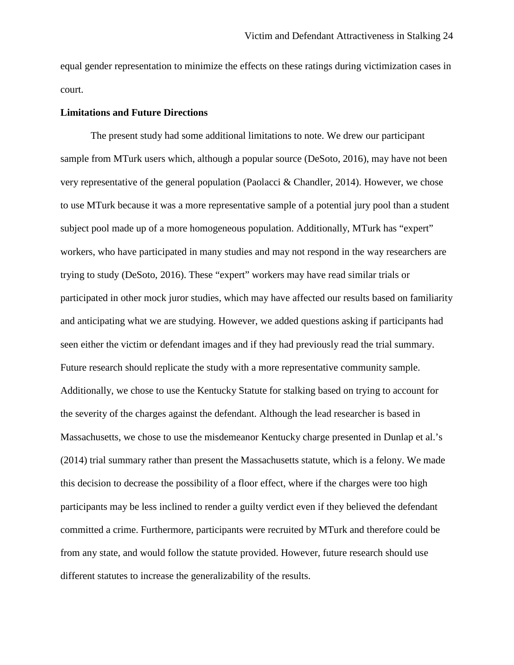equal gender representation to minimize the effects on these ratings during victimization cases in court.

# **Limitations and Future Directions**

The present study had some additional limitations to note. We drew our participant sample from MTurk users which, although a popular source (DeSoto, 2016), may have not been very representative of the general population (Paolacci & Chandler, 2014). However, we chose to use MTurk because it was a more representative sample of a potential jury pool than a student subject pool made up of a more homogeneous population. Additionally, MTurk has "expert" workers, who have participated in many studies and may not respond in the way researchers are trying to study (DeSoto, 2016). These "expert" workers may have read similar trials or participated in other mock juror studies, which may have affected our results based on familiarity and anticipating what we are studying. However, we added questions asking if participants had seen either the victim or defendant images and if they had previously read the trial summary. Future research should replicate the study with a more representative community sample. Additionally, we chose to use the Kentucky Statute for stalking based on trying to account for the severity of the charges against the defendant. Although the lead researcher is based in Massachusetts, we chose to use the misdemeanor Kentucky charge presented in Dunlap et al.'s (2014) trial summary rather than present the Massachusetts statute, which is a felony. We made this decision to decrease the possibility of a floor effect, where if the charges were too high participants may be less inclined to render a guilty verdict even if they believed the defendant committed a crime. Furthermore, participants were recruited by MTurk and therefore could be from any state, and would follow the statute provided. However, future research should use different statutes to increase the generalizability of the results.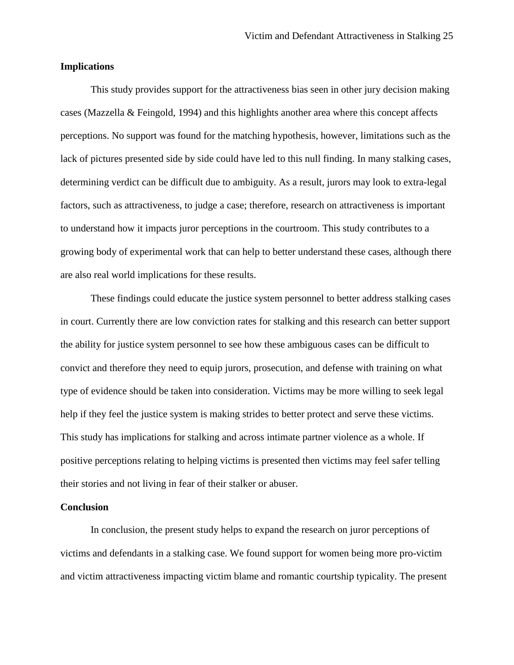# **Implications**

This study provides support for the attractiveness bias seen in other jury decision making cases (Mazzella & Feingold, 1994) and this highlights another area where this concept affects perceptions. No support was found for the matching hypothesis, however, limitations such as the lack of pictures presented side by side could have led to this null finding. In many stalking cases, determining verdict can be difficult due to ambiguity. As a result, jurors may look to extra-legal factors, such as attractiveness, to judge a case; therefore, research on attractiveness is important to understand how it impacts juror perceptions in the courtroom. This study contributes to a growing body of experimental work that can help to better understand these cases, although there are also real world implications for these results.

These findings could educate the justice system personnel to better address stalking cases in court. Currently there are low conviction rates for stalking and this research can better support the ability for justice system personnel to see how these ambiguous cases can be difficult to convict and therefore they need to equip jurors, prosecution, and defense with training on what type of evidence should be taken into consideration. Victims may be more willing to seek legal help if they feel the justice system is making strides to better protect and serve these victims. This study has implications for stalking and across intimate partner violence as a whole. If positive perceptions relating to helping victims is presented then victims may feel safer telling their stories and not living in fear of their stalker or abuser.

#### **Conclusion**

In conclusion, the present study helps to expand the research on juror perceptions of victims and defendants in a stalking case. We found support for women being more pro-victim and victim attractiveness impacting victim blame and romantic courtship typicality. The present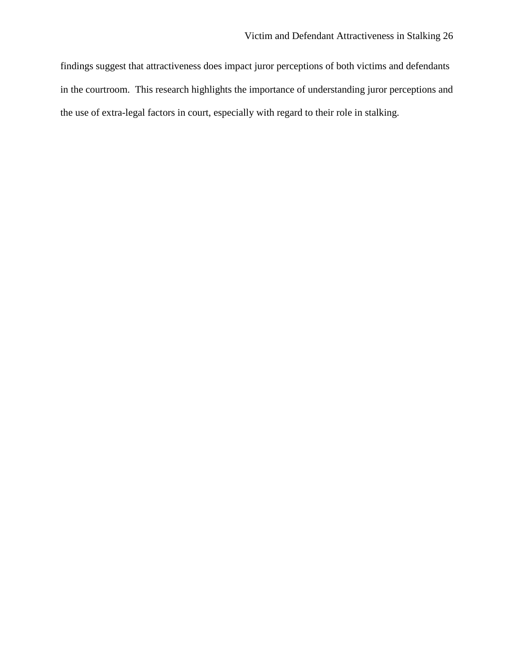findings suggest that attractiveness does impact juror perceptions of both victims and defendants in the courtroom. This research highlights the importance of understanding juror perceptions and the use of extra-legal factors in court, especially with regard to their role in stalking.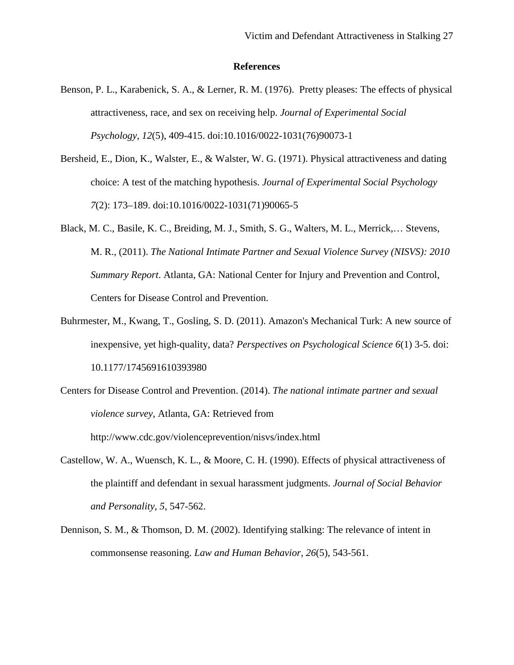#### **References**

- Benson, P. L., Karabenick, S. A., & Lerner, R. M. (1976). Pretty pleases: The effects of physical attractiveness, race, and sex on receiving help. *Journal of Experimental Social Psychology, 12*(5), 409-415. doi:10.1016/0022-1031(76)90073-1
- Bersheid, E., Dion, K., Walster, E., & Walster, W. G. (1971). Physical attractiveness and dating choice: A test of the matching hypothesis. *Journal of Experimental Social Psychology 7*(2): 173–189. doi:10.1016/0022-1031(71)90065-5
- Black, M. C., Basile, K. C., Breiding, M. J., Smith, S. G., Walters, M. L., Merrick,… Stevens, M. R., (2011). *The National Intimate Partner and Sexual Violence Survey (NISVS): 2010 Summary Report*. Atlanta, GA: National Center for Injury and Prevention and Control, Centers for Disease Control and Prevention.
- Buhrmester, M., Kwang, T., Gosling, S. D. (2011). Amazon's Mechanical Turk: A new source of inexpensive, yet high-quality, data? *Perspectives on Psychological Science 6*(1) 3-5. doi: 10.1177/1745691610393980
- Centers for Disease Control and Prevention. (2014). *The national intimate partner and sexual violence survey,* Atlanta, GA: Retrieved from http://www.cdc.gov/violenceprevention/nisvs/index.html
- Castellow, W. A., Wuensch, K. L., & Moore, C. H. (1990). Effects of physical attractiveness of the plaintiff and defendant in sexual harassment judgments. *Journal of Social Behavior and Personality*, *5*, 547-562.
- Dennison, S. M., & Thomson, D. M. (2002). Identifying stalking: The relevance of intent in commonsense reasoning. *Law and Human Behavior, 26*(5), 543-561.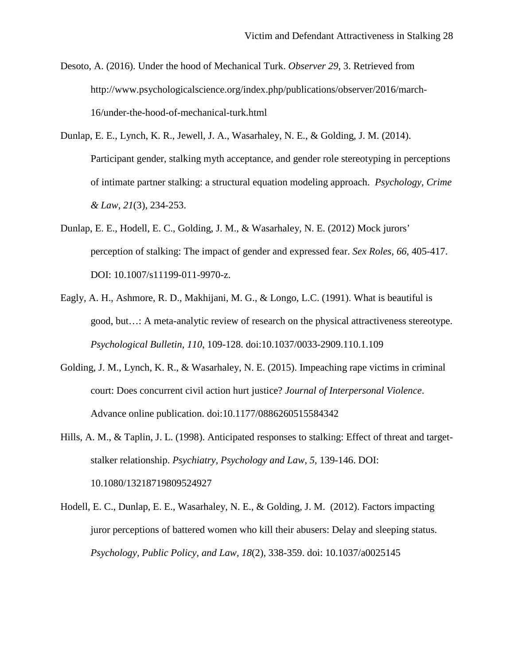- Desoto, A. (2016). Under the hood of Mechanical Turk. *Observer 29,* 3. Retrieved from http://www.psychologicalscience.org/index.php/publications/observer/2016/march-16/under-the-hood-of-mechanical-turk.html
- Dunlap, E. E., Lynch, K. R., Jewell, J. A., Wasarhaley, N. E., & Golding, J. M. (2014). Participant gender, stalking myth acceptance, and gender role stereotyping in perceptions of intimate partner stalking: a structural equation modeling approach. *Psychology, Crime & Law*, *21*(3), 234-253.
- Dunlap, E. E., Hodell, E. C., Golding, J. M., & Wasarhaley, N. E. (2012) Mock jurors' perception of stalking: The impact of gender and expressed fear. *Sex Roles, 66*, 405-417. DOI: 10.1007/s11199-011-9970-z.
- Eagly, A. H., Ashmore, R. D., Makhijani, M. G., & Longo, L.C. (1991). What is beautiful is good, but…: A meta-analytic review of research on the physical attractiveness stereotype. *Psychological Bulletin, 110*, 109-128. doi:10.1037/0033-2909.110.1.109
- Golding, J. M., Lynch, K. R., & Wasarhaley, N. E. (2015). Impeaching rape victims in criminal court: Does concurrent civil action hurt justice? *Journal of Interpersonal Violence*. Advance online publication. doi:10.1177/0886260515584342
- Hills, A. M., & Taplin, J. L. (1998). Anticipated responses to stalking: Effect of threat and targetstalker relationship. *Psychiatry, Psychology and Law, 5*, 139-146. DOI: 10.1080/13218719809524927
- Hodell, E. C., Dunlap, E. E., Wasarhaley, N. E., & Golding, J. M. (2012). Factors impacting juror perceptions of battered women who kill their abusers: Delay and sleeping status. *Psychology, Public Policy, and Law, 18*(2), 338-359. doi: 10.1037/a0025145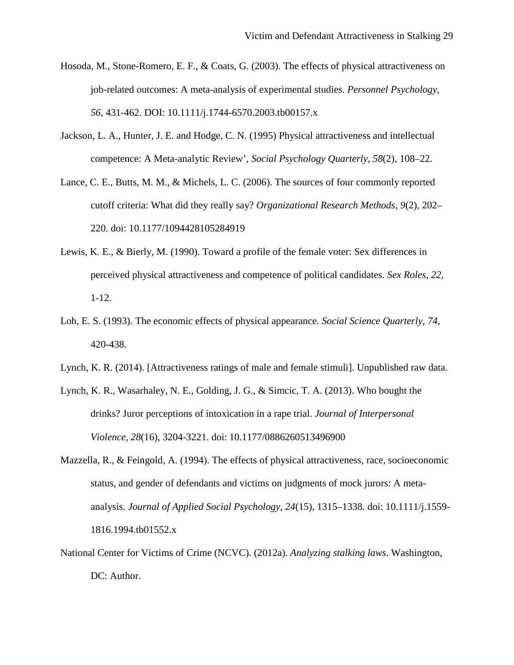- Hosoda, M., Stone-Romero, E. F., & Coats, G. (2003). The effects of physical attractiveness on job-related outcomes: A meta-analysis of experimental studies. *Personnel Psychology, 56*, 431-462. DOI: 10.1111/j.1744-6570.2003.tb00157.x
- Jackson, L. A., Hunter, J. E. and Hodge, C. N. (1995) Physical attractiveness and intellectual competence: A Meta-analytic Review', *Social Psychology Quarterly*, *58*(2), 108–22.
- Lance, C. E., Butts, M. M., & Michels, L. C. (2006). The sources of four commonly reported cutoff criteria: What did they really say? *Organizational Research Methods*, *9*(2), 202– 220. doi: 10.1177/1094428105284919
- Lewis, K. E., & Bierly, M. (1990). Toward a profile of the female voter: Sex differences in perceived physical attractiveness and competence of political candidates. *Sex Roles*, *22*, 1-12.
- Loh, E. S. (1993). The economic effects of physical appearance. *Social Science Quarterly*, *74*, 420-438.
- Lynch, K. R. (2014). [Attractiveness ratings of male and female stimuli]. Unpublished raw data.
- Lynch, K. R., Wasarhaley, N. E., Golding, J. G., & Simcic, T. A. (2013). Who bought the drinks? Juror perceptions of intoxication in a rape trial. *Journal of Interpersonal Violence, 28*(16), 3204-3221. doi: 10.1177/0886260513496900
- Mazzella, R., & Feingold, A. (1994). The effects of physical attractiveness, race, socioeconomic status, and gender of defendants and victims on judgments of mock jurors: A metaanalysis. *Journal of Applied Social Psychology*, *24*(15), 1315–1338. doi: 10.1111/j.1559- 1816.1994.tb01552.x
- National Center for Victims of Crime (NCVC). (2012a). *Analyzing stalking laws*. Washington, DC: Author.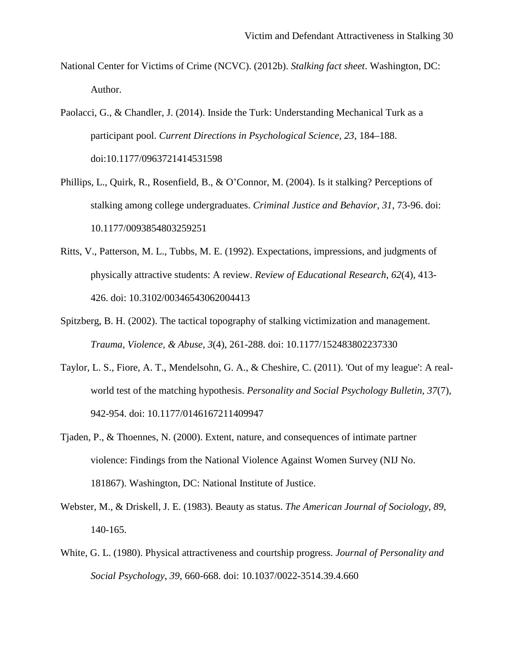- National Center for Victims of Crime (NCVC). (2012b). *Stalking fact sheet*. Washington, DC: Author.
- Paolacci, G., & Chandler, J. (2014). Inside the Turk: Understanding Mechanical Turk as a participant pool. *Current Directions in Psychological Science, 23*, 184–188. doi:10.1177/0963721414531598
- Phillips, L., Quirk, R., Rosenfield, B., & O'Connor, M. (2004). Is it stalking? Perceptions of stalking among college undergraduates. *Criminal Justice and Behavior, 31*, 73-96. doi: 10.1177/0093854803259251
- Ritts, V., Patterson, M. L., Tubbs, M. E. (1992). Expectations, impressions, and judgments of physically attractive students: A review. *Review of Educational Research*, *62*(4), 413- 426. doi: 10.3102/00346543062004413
- Spitzberg, B. H. (2002). The tactical topography of stalking victimization and management. *Trauma, Violence, & Abuse, 3*(4), 261-288. doi: 10.1177/152483802237330
- Taylor, L. S., Fiore, A. T., Mendelsohn, G. A., & Cheshire, C. (2011). 'Out of my league': A realworld test of the matching hypothesis. *Personality and Social Psychology Bulletin, 37*(7), 942-954. doi: 10.1177/0146167211409947
- Tjaden, P., & Thoennes, N. (2000). Extent, nature, and consequences of intimate partner violence: Findings from the National Violence Against Women Survey (NIJ No. 181867). Washington, DC: National Institute of Justice.
- Webster, M., & Driskell, J. E. (1983). Beauty as status. *The American Journal of Sociology*, *89*, 140-165.
- White, G. L. (1980). Physical attractiveness and courtship progress. *Journal of Personality and Social Psychology*, *39*, 660-668. doi: 10.1037/0022-3514.39.4.660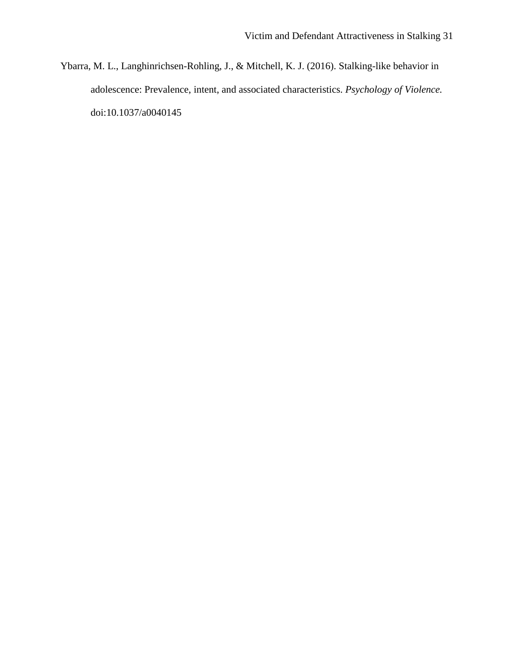Ybarra, M. L., Langhinrichsen-Rohling, J., & Mitchell, K. J. (2016). Stalking-like behavior in adolescence: Prevalence, intent, and associated characteristics. *Psychology of Violence.* doi:10.1037/a0040145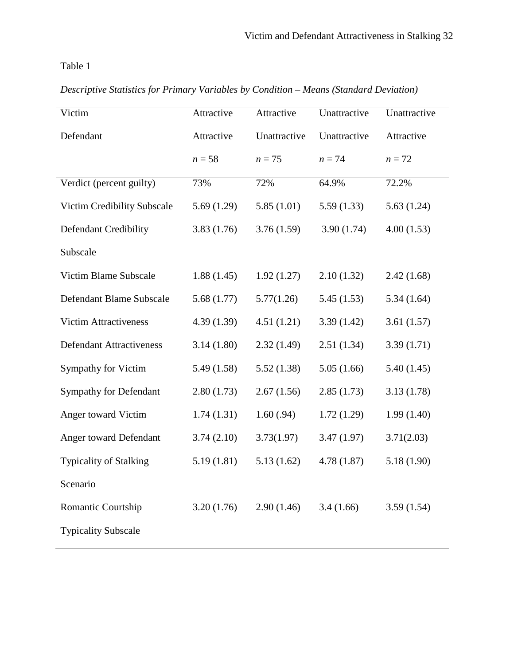Table 1

|  | Descriptive Statistics for Primary Variables by Condition – Means (Standard Deviation) |  |  |
|--|----------------------------------------------------------------------------------------|--|--|
|  |                                                                                        |  |  |

| Victim                          | Attractive | Attractive   | Unattractive | Unattractive |
|---------------------------------|------------|--------------|--------------|--------------|
| Defendant                       | Attractive | Unattractive | Unattractive | Attractive   |
|                                 | $n = 58$   | $n=75$       | $n = 74$     | $n=72$       |
| Verdict (percent guilty)        | 73%        | 72%          | 64.9%        | 72.2%        |
| Victim Credibility Subscale     | 5.69(1.29) | 5.85(1.01)   | 5.59(1.33)   | 5.63(1.24)   |
| Defendant Credibility           | 3.83(1.76) | 3.76(1.59)   | 3.90(1.74)   | 4.00(1.53)   |
| Subscale                        |            |              |              |              |
| Victim Blame Subscale           | 1.88(1.45) | 1.92(1.27)   | 2.10(1.32)   | 2.42(1.68)   |
| Defendant Blame Subscale        | 5.68(1.77) | 5.77(1.26)   | 5.45(1.53)   | 5.34(1.64)   |
| <b>Victim Attractiveness</b>    | 4.39(1.39) | 4.51(1.21)   | 3.39(1.42)   | 3.61(1.57)   |
| <b>Defendant Attractiveness</b> | 3.14(1.80) | 2.32(1.49)   | 2.51(1.34)   | 3.39(1.71)   |
| <b>Sympathy for Victim</b>      | 5.49(1.58) | 5.52(1.38)   | 5.05(1.66)   | 5.40(1.45)   |
| <b>Sympathy for Defendant</b>   | 2.80(1.73) | 2.67(1.56)   | 2.85(1.73)   | 3.13(1.78)   |
| Anger toward Victim             | 1.74(1.31) | 1.60(.94)    | 1.72(1.29)   | 1.99(1.40)   |
| Anger toward Defendant          | 3.74(2.10) | 3.73(1.97)   | 3.47(1.97)   | 3.71(2.03)   |
| <b>Typicality of Stalking</b>   | 5.19(1.81) | 5.13(1.62)   | 4.78(1.87)   | 5.18(1.90)   |
| Scenario                        |            |              |              |              |
| Romantic Courtship              | 3.20(1.76) | 2.90(1.46)   | 3.4(1.66)    | 3.59(1.54)   |
| <b>Typicality Subscale</b>      |            |              |              |              |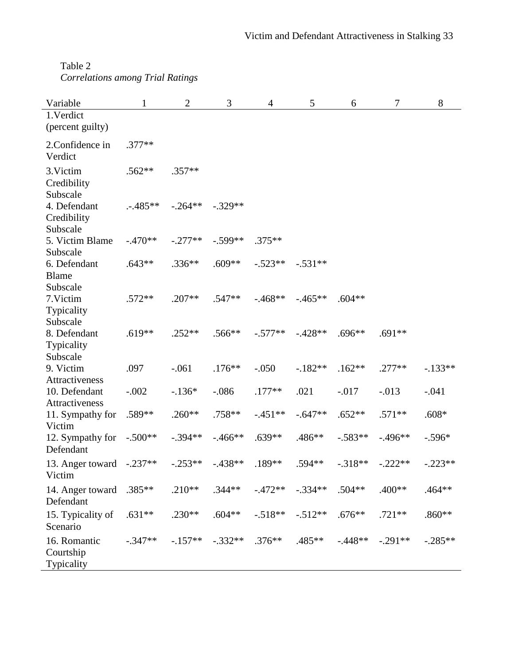Table 2 *Correlations among Trial Ratings*

| Variable                                 | $\mathbf{1}$ | $\mathfrak{2}$ | 3          | $\overline{4}$ | 5         | 6         | 7          | 8         |
|------------------------------------------|--------------|----------------|------------|----------------|-----------|-----------|------------|-----------|
| 1. Verdict<br>(percent guilty)           |              |                |            |                |           |           |            |           |
| 2.Confidence in<br>Verdict               | $.377**$     |                |            |                |           |           |            |           |
| 3. Victim<br>Credibility<br>Subscale     | $.562**$     | $.357**$       |            |                |           |           |            |           |
| 4. Defendant<br>Credibility<br>Subscale  | $-.485**$    | $-.264**$      | $-.329**$  |                |           |           |            |           |
| 5. Victim Blame<br>Subscale              | $-.470**$    | $-.277**$      | $-.599**$  | $.375***$      |           |           |            |           |
| 6. Defendant<br><b>Blame</b><br>Subscale | $.643**$     | $.336**$       | $.609**$   | $-.523**$      | $-.531**$ |           |            |           |
| 7.Victim<br>Typicality<br>Subscale       | $.572**$     | $.207**$       | $.547**$   | $-0.468**$     | $-.465**$ | $.604**$  |            |           |
| 8. Defendant<br>Typicality<br>Subscale   | $.619**$     | $.252**$       | $.566**$   | $-.577**$      | $-.428**$ | $.696**$  | $.691**$   |           |
| 9. Victim<br>Attractiveness              | .097         | $-.061$        | $.176***$  | $-.050$        | $-182**$  | $.162**$  | $.277**$   | $-133**$  |
| 10. Defendant<br>Attractiveness          | $-.002$      | $-.136*$       | $-.086$    | $.177**$       | .021      | $-.017$   | $-0.013$   | $-.041$   |
| 11. Sympathy for<br>Victim               | .589**       | $.260**$       | $.758**$   | $-.451**$      | $-.647**$ | $.652**$  | $.571**$   | $.608*$   |
| 12. Sympathy for<br>Defendant            | $-.500**$    | $-.394**$      | $-.466**$  | $.639**$       | .486**    | $-.583**$ | $-0.496**$ | $-.596*$  |
| 13. Anger toward $-.237**$<br>Victim     |              | $-.253**$      | $-0.438**$ | .189**         | $.594**$  | $-.318**$ | $-.222**$  | $-.223**$ |
| 14. Anger toward<br>Defendant            | $.385**$     | $.210**$       | $.344**$   | $-0.472**$     | $-.334**$ | $.504**$  | .400**     | $.464**$  |
| 15. Typicality of<br>Scenario            | $.631**$     | $.230**$       | $.604**$   | $-.518**$      | $-.512**$ | $.676**$  | $.721**$   | $.860**$  |
| 16. Romantic<br>Courtship<br>Typicality  | $-.347**$    | $-.157**$      | $-.332**$  | $.376**$       | $.485**$  | $-448**$  | $-.291**$  | $-.285**$ |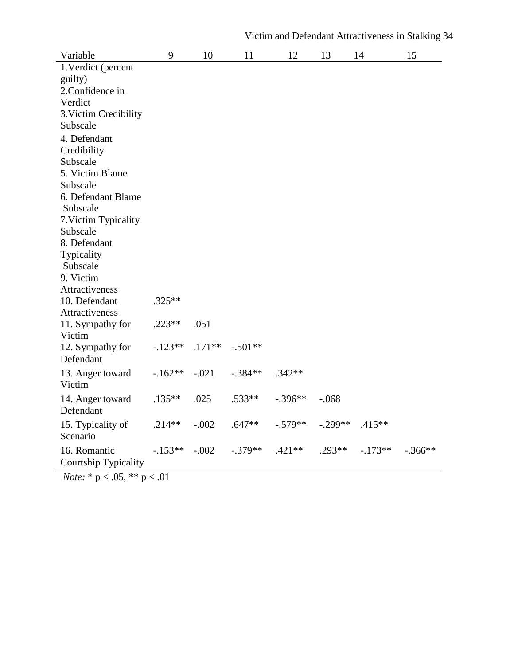| Variable                    | 9         | 10       | 11        | 12        | 13        | 14        | 15        |
|-----------------------------|-----------|----------|-----------|-----------|-----------|-----------|-----------|
| 1. Verdict (percent         |           |          |           |           |           |           |           |
| guilty)                     |           |          |           |           |           |           |           |
| 2.Confidence in             |           |          |           |           |           |           |           |
| Verdict                     |           |          |           |           |           |           |           |
| 3. Victim Credibility       |           |          |           |           |           |           |           |
| Subscale                    |           |          |           |           |           |           |           |
| 4. Defendant                |           |          |           |           |           |           |           |
| Credibility                 |           |          |           |           |           |           |           |
| Subscale                    |           |          |           |           |           |           |           |
| 5. Victim Blame             |           |          |           |           |           |           |           |
| Subscale                    |           |          |           |           |           |           |           |
| 6. Defendant Blame          |           |          |           |           |           |           |           |
| Subscale                    |           |          |           |           |           |           |           |
| 7. Victim Typicality        |           |          |           |           |           |           |           |
| Subscale                    |           |          |           |           |           |           |           |
| 8. Defendant                |           |          |           |           |           |           |           |
| Typicality<br>Subscale      |           |          |           |           |           |           |           |
| 9. Victim                   |           |          |           |           |           |           |           |
| Attractiveness              |           |          |           |           |           |           |           |
| 10. Defendant               | $.325**$  |          |           |           |           |           |           |
| Attractiveness              |           |          |           |           |           |           |           |
| 11. Sympathy for            | $.223**$  | .051     |           |           |           |           |           |
| Victim                      |           |          |           |           |           |           |           |
| 12. Sympathy for            | $-123**$  | $.171**$ | $-.501**$ |           |           |           |           |
| Defendant                   |           |          |           |           |           |           |           |
| 13. Anger toward            | $-162**$  | $-.021$  | $-.384**$ | $.342**$  |           |           |           |
| Victim                      |           |          |           |           |           |           |           |
|                             |           |          |           |           |           |           |           |
| 14. Anger toward            | $.135***$ | .025     | $.533**$  | $-.396**$ | $-.068$   |           |           |
| Defendant                   |           |          |           |           |           |           |           |
| 15. Typicality of           | $.214**$  | $-.002$  | $.647**$  | $-.579**$ | $-.299**$ | $.415***$ |           |
| Scenario                    |           |          |           |           |           |           |           |
| 16. Romantic                | $-153**$  | $-.002$  | $-.379**$ | $.421**$  | $.293**$  | $-.173**$ | $-.366**$ |
| <b>Courtship Typicality</b> |           |          |           |           |           |           |           |

*Note:* \* p < .05, \*\* p < .01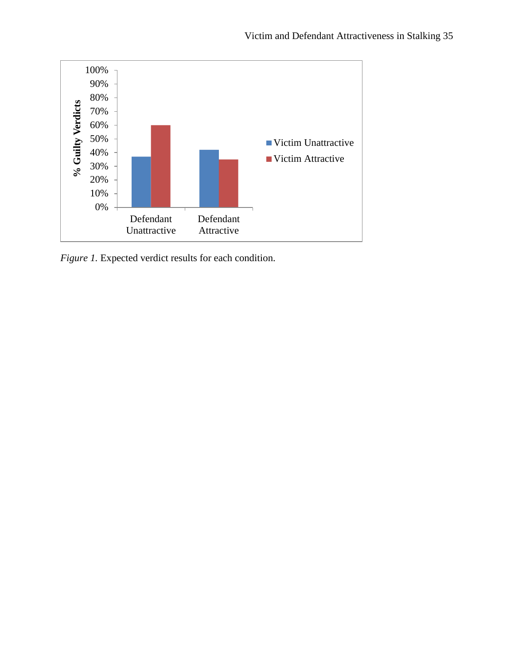

*Figure 1.* Expected verdict results for each condition.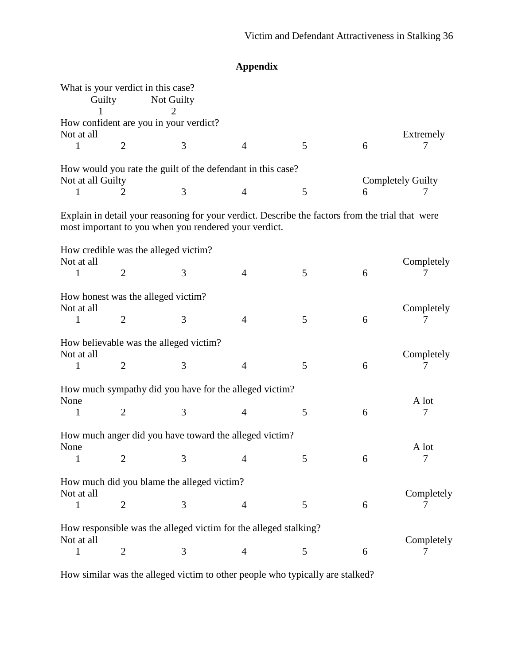|                   | What is your verdict in this case?<br>Guilty | Not Guilty                                                                                                                                                |                |   |   |                          |
|-------------------|----------------------------------------------|-----------------------------------------------------------------------------------------------------------------------------------------------------------|----------------|---|---|--------------------------|
|                   |                                              | How confident are you in your verdict?                                                                                                                    |                |   |   |                          |
| Not at all        |                                              |                                                                                                                                                           |                |   |   | Extremely                |
| 1                 | $\overline{2}$                               | 3                                                                                                                                                         | $\overline{4}$ | 5 | 6 |                          |
| Not at all Guilty |                                              | How would you rate the guilt of the defendant in this case?                                                                                               |                |   |   | <b>Completely Guilty</b> |
| 1                 | $\overline{2}$                               | 3                                                                                                                                                         | $\overline{4}$ | 5 | 6 | 7                        |
|                   |                                              | Explain in detail your reasoning for your verdict. Describe the factors from the trial that were<br>most important to you when you rendered your verdict. |                |   |   |                          |
|                   |                                              | How credible was the alleged victim?                                                                                                                      |                |   |   |                          |
| Not at all<br>1   | $\overline{2}$                               | 3                                                                                                                                                         | $\overline{4}$ | 5 | 6 | Completely               |
| Not at all        |                                              | How honest was the alleged victim?                                                                                                                        |                |   |   | Completely               |
| 1                 | $\overline{2}$                               | 3                                                                                                                                                         | $\overline{4}$ | 5 | 6 | 7                        |
| Not at all        |                                              | How believable was the alleged victim?                                                                                                                    |                |   |   | Completely               |
| 1                 | $\overline{2}$                               | 3                                                                                                                                                         | $\overline{4}$ | 5 | 6 |                          |
| None              |                                              | How much sympathy did you have for the alleged victim?                                                                                                    |                |   |   | A lot                    |
| 1                 | $\overline{2}$                               | 3                                                                                                                                                         | $\overline{4}$ | 5 | 6 | 7                        |
| None              |                                              | How much anger did you have toward the alleged victim?                                                                                                    |                |   |   | A lot                    |
| $\overline{1}$    | 2                                            | 3 <sup>7</sup>                                                                                                                                            |                | 5 | 6 | 7                        |
| Not at all        |                                              | How much did you blame the alleged victim?                                                                                                                |                |   |   | Completely               |
| 1                 | $\overline{2}$                               | 3                                                                                                                                                         | 4              | 5 | 6 |                          |
| Not at all        |                                              | How responsible was the alleged victim for the alleged stalking?                                                                                          |                |   |   | Completely               |
| 1                 | 2                                            | 3                                                                                                                                                         | 4              | 5 | 6 | 7                        |

**Appendix**

How similar was the alleged victim to other people who typically are stalked?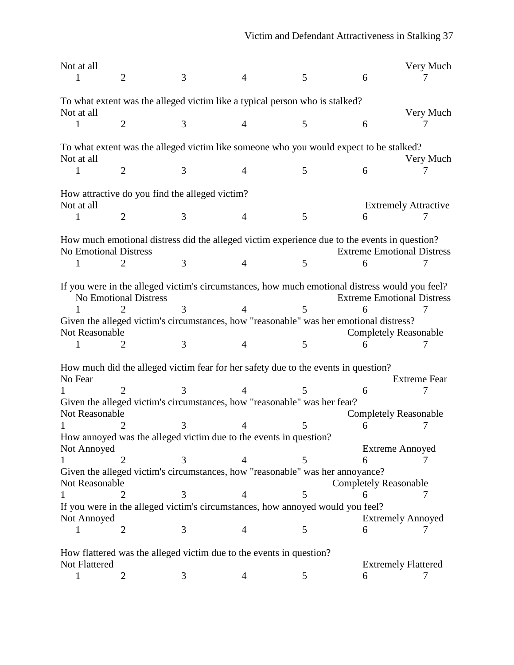| Not at all            |                                                                                                |   |                |   |                                   | Very Much           |
|-----------------------|------------------------------------------------------------------------------------------------|---|----------------|---|-----------------------------------|---------------------|
|                       | $\overline{2}$                                                                                 | 3 | $\overline{4}$ | 5 | 6                                 |                     |
|                       |                                                                                                |   |                |   |                                   |                     |
|                       | To what extent was the alleged victim like a typical person who is stalked?                    |   |                |   |                                   |                     |
| Not at all            |                                                                                                |   |                |   |                                   | Very Much           |
|                       | $\overline{2}$                                                                                 | 3 | $\overline{4}$ | 5 | 6                                 |                     |
|                       |                                                                                                |   |                |   |                                   |                     |
|                       | To what extent was the alleged victim like someone who you would expect to be stalked?         |   |                |   |                                   |                     |
| Not at all            |                                                                                                |   |                |   |                                   | Very Much           |
|                       | $\overline{2}$                                                                                 | 3 | $\overline{4}$ | 5 | 6                                 |                     |
|                       |                                                                                                |   |                |   |                                   |                     |
|                       | How attractive do you find the alleged victim?                                                 |   |                |   |                                   |                     |
| Not at all            |                                                                                                |   |                |   | <b>Extremely Attractive</b>       |                     |
|                       | 2                                                                                              | 3 | 4              | 5 | 6                                 |                     |
|                       |                                                                                                |   |                |   |                                   |                     |
|                       | How much emotional distress did the alleged victim experience due to the events in question?   |   |                |   |                                   |                     |
| No Emotional Distress |                                                                                                |   |                |   | <b>Extreme Emotional Distress</b> |                     |
|                       |                                                                                                | 3 | $\overline{4}$ | 5 | 6                                 | 7                   |
|                       |                                                                                                |   |                |   |                                   |                     |
|                       | If you were in the alleged victim's circumstances, how much emotional distress would you feel? |   |                |   |                                   |                     |
|                       | <b>No Emotional Distress</b>                                                                   |   |                |   | <b>Extreme Emotional Distress</b> |                     |
|                       | 2                                                                                              |   |                | 5 |                                   |                     |
|                       | Given the alleged victim's circumstances, how "reasonable" was her emotional distress?         |   |                |   |                                   |                     |
| Not Reasonable        |                                                                                                |   |                |   | <b>Completely Reasonable</b>      |                     |
|                       | 2                                                                                              | 3 | $\overline{4}$ | 5 |                                   |                     |
|                       |                                                                                                |   |                |   |                                   |                     |
|                       | How much did the alleged victim fear for her safety due to the events in question?             |   |                |   |                                   |                     |
| No Fear               |                                                                                                |   |                |   |                                   | <b>Extreme Fear</b> |
|                       | 2.                                                                                             |   |                |   | 6                                 |                     |
|                       | Given the alleged victim's circumstances, how "reasonable" was her fear?                       |   |                |   |                                   |                     |
| Not Reasonable        |                                                                                                |   |                |   | <b>Completely Reasonable</b>      |                     |
|                       |                                                                                                |   |                |   | 6                                 |                     |
|                       | How annoyed was the alleged victim due to the events in question?                              |   |                |   |                                   |                     |
| Not Annoyed           |                                                                                                |   |                |   | <b>Extreme Annoyed</b>            |                     |
|                       |                                                                                                |   |                | 5 | 6                                 |                     |
|                       | Given the alleged victim's circumstances, how "reasonable" was her annoyance?                  |   |                |   |                                   |                     |
| Not Reasonable        |                                                                                                |   |                |   | <b>Completely Reasonable</b>      |                     |
|                       |                                                                                                |   | 4              | 5 | 6                                 | 7                   |
|                       | If you were in the alleged victim's circumstances, how annoyed would you feel?                 |   |                |   |                                   |                     |
| Not Annoyed           |                                                                                                |   |                |   | <b>Extremely Annoyed</b>          |                     |
| 1                     | $\overline{2}$                                                                                 | 3 | $\overline{4}$ | 5 | 6                                 | 7                   |
|                       |                                                                                                |   |                |   |                                   |                     |
|                       | How flattered was the alleged victim due to the events in question?                            |   |                |   |                                   |                     |
| Not Flattered         |                                                                                                |   |                |   | <b>Extremely Flattered</b>        |                     |
| $\mathbf 1$           | 2                                                                                              | 3 | 4              | 5 | 6                                 | 7                   |
|                       |                                                                                                |   |                |   |                                   |                     |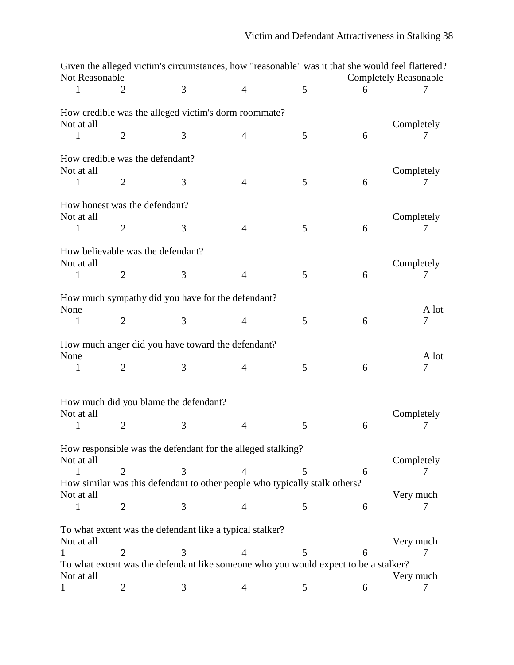|                                               |                | Given the alleged victim's circumstances, how "reasonable" was it that she would feel flattered? |                |   |   |                              |
|-----------------------------------------------|----------------|--------------------------------------------------------------------------------------------------|----------------|---|---|------------------------------|
| Not Reasonable                                |                |                                                                                                  |                |   |   | <b>Completely Reasonable</b> |
| 1                                             | 2              | 3                                                                                                | $\overline{4}$ | 5 | 6 |                              |
| Not at all                                    |                | How credible was the alleged victim's dorm roommate?                                             |                |   |   | Completely                   |
| 1                                             | $\overline{2}$ | 3                                                                                                | $\overline{4}$ | 5 | 6 |                              |
|                                               |                |                                                                                                  |                |   |   |                              |
| How credible was the defendant?<br>Not at all |                |                                                                                                  |                |   |   | Completely                   |
| $\mathbf{1}$                                  | $\mathbf{2}$   | 3                                                                                                | 4              | 5 | 6 |                              |
| How honest was the defendant?<br>Not at all   |                |                                                                                                  |                |   |   | Completely                   |
| 1                                             | $\overline{2}$ | 3                                                                                                | $\overline{4}$ | 5 | 6 |                              |
| Not at all                                    |                | How believable was the defendant?                                                                |                |   |   | Completely                   |
| $\mathbf{1}$                                  | $\overline{2}$ | 3                                                                                                | $\overline{4}$ | 5 | 6 |                              |
| None                                          |                | How much sympathy did you have for the defendant?                                                |                |   |   | A lot                        |
| 1                                             | $\mathbf{2}$   | 3                                                                                                | $\overline{4}$ | 5 | 6 | $\tau$                       |
| None                                          |                | How much anger did you have toward the defendant?                                                |                |   |   | A lot                        |
| 1                                             | $\overline{2}$ | 3                                                                                                | 4              | 5 | 6 | $\overline{7}$               |
| Not at all<br>1                               | $\overline{2}$ | How much did you blame the defendant?<br>3                                                       | $\overline{4}$ | 5 | 6 | Completely                   |
|                                               |                |                                                                                                  |                |   |   |                              |
| Not at all                                    |                | How responsible was the defendant for the alleged stalking?                                      |                |   |   | Completely                   |
|                                               | $\overline{2}$ | 3                                                                                                |                | 5 | 6 |                              |
| Not at all                                    |                | How similar was this defendant to other people who typically stalk others?                       |                |   |   | Very much                    |
| 1                                             | $\overline{2}$ | 3                                                                                                | 4              | 5 | 6 |                              |
| Not at all                                    |                | To what extent was the defendant like a typical stalker?                                         |                |   |   | Very much                    |
|                                               | 2              | 3                                                                                                |                | 5 | 6 |                              |
| Not at all                                    |                | To what extent was the defendant like someone who you would expect to be a stalker?              |                |   |   | Very much                    |
| 1                                             | 2              | 3                                                                                                | 4              | 5 | 6 | 7                            |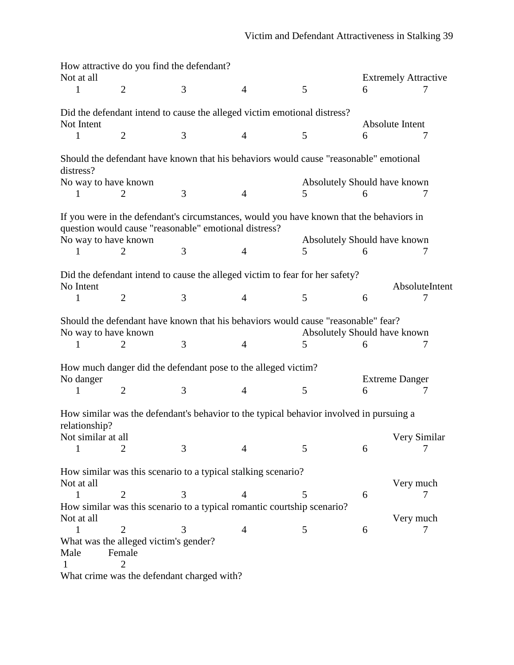|                      | How attractive do you find the defendant?                                                                                                         |   |                |                                   |                                  |                |
|----------------------|---------------------------------------------------------------------------------------------------------------------------------------------------|---|----------------|-----------------------------------|----------------------------------|----------------|
| Not at all<br>1      | $\overline{2}$                                                                                                                                    | 3 | $\overline{4}$ | 5                                 | <b>Extremely Attractive</b><br>6 |                |
|                      | Did the defendant intend to cause the alleged victim emotional distress?                                                                          |   |                |                                   |                                  |                |
| Not Intent           |                                                                                                                                                   |   |                |                                   | Absolute Intent                  |                |
| 1                    | $\overline{2}$                                                                                                                                    | 3 | $\overline{4}$ | 5                                 | 6                                | 7              |
| distress?            | Should the defendant have known that his behaviors would cause "reasonable" emotional                                                             |   |                |                                   |                                  |                |
| No way to have known |                                                                                                                                                   |   |                | Absolutely Should have known      |                                  |                |
| 1                    | $\overline{2}$                                                                                                                                    | 3 | $\overline{4}$ | 5                                 | 6                                | 7              |
| No way to have known | If you were in the defendant's circumstances, would you have known that the behaviors in<br>question would cause "reasonable" emotional distress? |   |                | Absolutely Should have known      |                                  |                |
| L                    | 2                                                                                                                                                 | 3 | $\overline{4}$ | 5                                 | 6                                | 7              |
|                      |                                                                                                                                                   |   |                |                                   |                                  |                |
| No Intent            | Did the defendant intend to cause the alleged victim to fear for her safety?                                                                      |   |                |                                   |                                  | AbsoluteIntent |
| 1                    | $\overline{2}$                                                                                                                                    | 3 | $\overline{4}$ | 5                                 | 6                                |                |
| No way to have known | Should the defendant have known that his behaviors would cause "reasonable" fear?<br>2                                                            | 3 | $\overline{4}$ | Absolutely Should have known<br>5 | 6                                | 7              |
| No danger            | How much danger did the defendant pose to the alleged victim?                                                                                     |   |                |                                   | <b>Extreme Danger</b>            |                |
| 1                    | $\overline{2}$                                                                                                                                    | 3 | $\overline{4}$ | 5                                 | 6                                | 7              |
| relationship?        | How similar was the defendant's behavior to the typical behavior involved in pursuing a                                                           |   |                |                                   |                                  |                |
| Not similar at all   |                                                                                                                                                   |   |                |                                   |                                  | Very Similar   |
| $\mathbf{1}$         | $\overline{2}$                                                                                                                                    | 3 | 4              | 5                                 | 6                                | 7              |
|                      | How similar was this scenario to a typical stalking scenario?                                                                                     |   |                |                                   |                                  |                |
| Not at all<br>1      | $\overline{2}$                                                                                                                                    | 3 | 4              | 5                                 | 6                                | Very much      |
|                      | How similar was this scenario to a typical romantic courtship scenario?                                                                           |   |                |                                   |                                  |                |
| Not at all           |                                                                                                                                                   |   |                |                                   |                                  | Very much      |
| 1                    | $\overline{2}$                                                                                                                                    | 3 | $\overline{4}$ | 5                                 | 6                                | 7              |
|                      | What was the alleged victim's gender?                                                                                                             |   |                |                                   |                                  |                |
| Male                 | Female                                                                                                                                            |   |                |                                   |                                  |                |
|                      | $\overline{2}$                                                                                                                                    |   |                |                                   |                                  |                |
|                      | What crime was the defendant charged with?                                                                                                        |   |                |                                   |                                  |                |